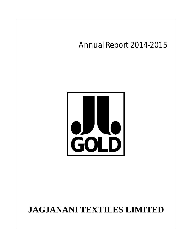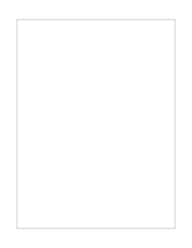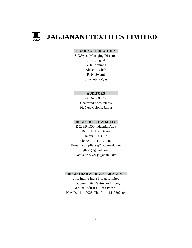

### **BOARD OF DIRECTORS**

S.G.Vyas (Managing Director) S. K. Singhal N. K. Khurana Akash B. Shah R. N. Swami Shakuntala Vyas

# **AUDITORS**

G. Dutta & Co. Chartered Accountants 36, New Colony, Jaipur

### **REGD. OFFICE & MILLS**

E-228,RIICO Industrial Area Bagru Extn-I, Bagru Jaipur – 303007 Phone : 0141-5123802 E-mail: compliance@jagjanani.com jtlsgv@gmail.com Web site: www.jagjanani.com

#### **REGISTRAR & TRANSFER AGENT**

Link Intime India Private Limited 44, Community Centre, 2nd Floor, Naraina Industrial Area,Phase-I, New Delhi-110028. Ph.: 011-41410592, 94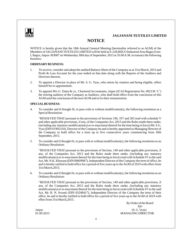

# **NOTICE**

NOTICE is hereby given that the 18th Annual General Meeting (hereinafter referred to as AGM) of the Members of JAGJANANI TEXTILES LIMITED will be held at E-228,RIICO Industrial Area Bagru Extn-I, Bagru, Jaipur-303007 on Wednesday 30th day of September, 2015 at 10.00 A.M. to transact the following business:

#### **ORDINARYBUSINESS:**

- 1. To receive, consider and adopt the audited Balance Sheet of the Company as at 31st March, 2015 and Profit & Loss Account for the year ended on that date along with the Reports of the Auditors and Directors thereon.
- 2. To appoint a Director in place of Mr. S. G. Vyas, who retires by rotation and being eligible, offers himself for re-appointment.
- 3. To appoint M/s G. Dutta & co., Chartered Accountants, Jaipur (ICAI Registration No. 002136 'C') the retiring auditors of the Company as Auditors, who shall hold office from the conclusion of this AGM until the conclusion of the next AGM and to fix their remuneration.

#### **SPECIALBUSINESS:**

4. To consider and if thought fit, to pass with or without modification(s), the following resolution as a Special Resolution:

"RESOLVED THAT pursuant to the provisions of Sections 196, 197 and 203 read with schedule V and other applicable provisions, if any, of the Companies Act, 2013 and the Rules made there under, (including any statutory modification(s) or re-enactment thereof for the time being in force) Mr. S.G. Vyas (DIN 01905310), Director of the Company be and is hereby appointed as Managing Director of the Company to hold office for a term up to five consecutive years commencing from 30th September, 2015.

5. To consider and if thought fit, to pass with or without modification(s), the following resolution as an Ordinary Resolution:

"RESOLVED THAT pursuant to the provisions of Section, 149 and other applicable provisions, if any, of the Companies Act, 2013 and the Rules made there under, (including any statutory modification(s) or re-enactment thereof for the time being in force) read with Schedule IV to the said Act, Mr. N.K. Khurana (DIN 00609987), Independent Director of the Company the term of office, be and is hereby ratified to hold office for a period of five years up to the AGM of 2019 with effect from 31st March,2015.

6. To consider and if thought fit, to pass with or without modification(s), the following resolution as an Ordinary Resolution:

"RESOLVED THAT pursuant to the provisions of Section, 149 and other applicable provisions, if any, of the Companies Act, 2013 and the Rules made there under, (including any statutory modification(s) or re-enactment thereof for the time being in force) read with Schedule IV to the said Act, Mr. R. N. Swami (DIN 03248417), Independent Director of the Company the term of their office, be and is hereby ratified to hold office for a period of five years up to the AGM of 2019 with effect from 31st March,2015.

 By Order of the Board Sd/- Jaipur (S. G. Vyas) MANAGING DIRECTOR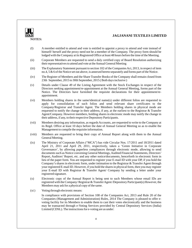

- (I) A member entitled to attend and vote is entitled to appoint a proxy to attend and vote instead of himself/ herself and the proxy need not be a member of the Company. The proxy form should be lodged with the Company at its Registered Office at least 48 hours before the time of the Meeting.
- (ii) Corporate Members are requested to send a duly certified copy of Board Resolution authorizing their representatives to attend and vote at the Annual General Meeting
- (iii) The Explanatory Statement pursuant to section 102 of the Companies Act, 2013, in respect of item no.4, 5 & 6 of the Notice set out above, is annexed hereto separately and forms part of the Notice.
- (iv) The Register of Members and the Share Transfer Books of the Company shall remain closed from 23th September, 2015 to 30th September, 2015 ( Both days inclusive )
- (v) Details under Clause 49 of the Listing Agreement with the Stock Exchanges in respect of the Directors seeking appointment/re-appointment at the Annual General Meeting, forms part of the Notice. The Directors have furnished the requisite declarations for their appointment/reappointment.
- (vi) Members holding shares in the same/identical name(s) under different folios are requested to apply for consolidation of such folios and send relevant share certificates to the Company/Registrar and Transfer Agent. The Members holding shares in physical mode are requested to notify the change in their address, if any, at the earliest to the Registrar & Transfer Agent/Company. However members, holding shares in electronic mode may notify the change in their address, if any, to their respective Depository Participants.
- (vii) Members desiring any information, as regards Accounts, are requested to write to the Company at its Regd. Office at least 10 days before the date of Annual General Meeting so as to enable the Management to compile the requisite information.
- (viii) Members are requested to bring their copy of Annual Report along with them to the Annual General Meeting.
- (ix) The Ministry of Corporate Affairs ("MCA") has vide Circular Nos. 17/2011 and 18/2011 dated April 21, 2011 and April 29, 2011, respectively, taken a 'Green Initiative in Corporate Governance', by allowing paperless compliances through electronic mode, allowing to send documents such as Notice convening General Meetings, Audited Financial Statements, Directors' Report, Auditors' Report, etc. and any other notice/documents, henceforth in electronic form in lieu of the paper form. You are requested to register your E-mail ID with your DP, if you hold the Company's shares in electronic form, under intimation to the Registrar & Transfer Agent through your registered E-mail ID. However, if you hold the shares in physical form, then you may register your E-mail ID with Registrar & Transfer Agent/ Company by sending a letter under your registered signature.
- (x) Electronic copy of the Annual Report is being sent to such Members whose email IDs are registered with the Company/ Registrar & Transfer Agent /Depository Participant(s) However, the Members may ask for a physical copy of the same.
- (xi ) Voting through electronic means:

In compliance with provisions of Section 108 of the Companies Act, 2013 and Rule 20 of the Companies (Management and Administration) Rules, 2014 The Company is pleased to offer evoting facility for its Members to enable them to cast their votes electronically and the business may be transacted through e-Voting Services provided by Central Depository Services (India) Limited (CDSL). The instructions for e-voting are as under: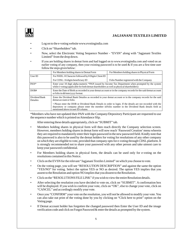

- Log on to the e-voting website www.evotingindia.com
- Click on "Shareholders" tab.
- Now, select the Electronic Voting Sequence Number "EVSN" along with "Jagjanani Textiles Limited" from the drop down.
- If you are holding shares in demat form and had logged on to www.evotingindia.com and voted on an earlier voting of any company, then your existing password is to be used  $&$  If you are a first time user follow the steps given below:

|                           | For Members holding shares in Demat Form                                                                                                                                                                                                                 | For Members holding shares in Physical Form |  |  |
|---------------------------|----------------------------------------------------------------------------------------------------------------------------------------------------------------------------------------------------------------------------------------------------------|---------------------------------------------|--|--|
| User ID                   | For NSDL: 8 Character followed by 8 Digits Client ID                                                                                                                                                                                                     |                                             |  |  |
|                           | For CDSL: 16 digits beneficiary ID                                                                                                                                                                                                                       | Folio Number registered with the Company    |  |  |
| PAN*                      | Enter your 10 digit alpha-numeric *PAN issued by Income Tax Department when prompted by the system<br>while e-voting (applicable for both demat shareholders as well as physical shareholders)                                                           |                                             |  |  |
| DOB#                      | Enter the Date of Birth as recorded in your demat account or in the company records for the said demat account<br>or folio in dd/mm/yyyy format.                                                                                                         |                                             |  |  |
| Dividend Bank<br>Detailes | Enter the Dividend Bank Detailes as recorded in your demat account or in the company records for the said<br>demat account or folio.                                                                                                                     |                                             |  |  |
|                           | • Please enter the DOB or Dividend Bank Details in order to login. If the details are not recorded with the<br>depository or company please enter the member id/folio number in the Dividend Bank details field as<br>mentioned above in user ID column. |                                             |  |  |

\*Members who have not updated their PAN with the Company/Depository Participant are requested to use the sequence number which is printed on Attendance Slip.

After entering these details appropriately, click on "SUBMIT" tab.

- Members holding shares in physical form will then reach directly the Company selection screen. However, members holding shares in demat form will now reach 'Password Creation'menu wherein they are required to mandatorily enter their login password in the new password field. Kindly note that this password is also to be used by the demat holders for voting for resolutions of any other company on which they are eligible to vote, provided that company opts for e-voting through CDSLplatform. It is strongly recommended not to share your password with any other person and take utmost care to keep your password confidential.
- For Members holding shares in physical form, the details can be used only for e-voting on the resolutions contained in this Notice.
- Click on the EVSN for the relevant "Jagjanani Textiles Limited" on which you choose to vote.
- On the voting page, you will see "RESOLUTION DESCRIPTION" and against the same the option "YES/NO" for voting. Select the option YES or NO as desired. The option YES implies that you assent to the Resolution and option NO implies that you dissent to the Resolution.
- Click on the "RESOLUTIONS FILE LINK" if you wish to view the entire Resolution details.
- After selecting the resolution you have decided to vote on, click on "SUBMIT". A confirmation box will be displayed. If you wish to confirm your vote, click on "OK", else to change your vote, click on "CANCEL" and accordingly modify your vote.
- Once you "CONFIRM" your vote on the resolution, you will not be allowed to modify your vote. You can also take out print of the voting done by you by clicking on "Click here to print" option on the Voting page.
- If Demat account holder has forgotten the changed password then Enter the User ID and the image verification code and click on Forgot Password & enter the details as prompted by the system.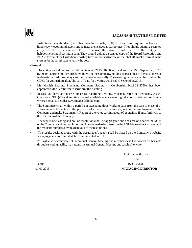

• Institutional shareholders (i.e. other than Individuals, HUF, NRI etc.) are required to log on to https://www.evotingindia.com and register themselves as Corporates. They should submit a scanned copy of the Registration Form bearing the stamp and sign of the entity to helpdesk.evoting@cdslindia.com. They should upload a scanned copy of the Board Resolution and POAin favour of the Custodian who they have authorised to vote on their behalf, in PDF format in the system for the scrutinizer to verify the vote

#### **General:**

- The voting period begins on 27th September, 2015 (10:00 am) and ends on 29th September, 2015 (5:00 pm) During this period shareholders'of the Company, holding shares either in physical form or in dematerialized form, may cast their vote electronically. The e-voting module shall be disabled by CDSLfor voting thereafter. The cut off date for e-voting will be 23rd September, 2015.
- Mr. Manish Sharma, Practising Company Secretary, (Membership No.FCS-4750), has been appointed as the Scrutinizer to scrutinize the e-voting.
- In case you have any queries or issues regarding e-voting, you may refer the Frequently Asked Questions ("FAQs") and e-voting manual available at www.evotingindia.com under help section or write an email to helpdesk.evoting@cdslindia.com.
- The Scrutinizer shall within a period not exceeding three working days from the date of close of evoting unlock the votes in the presence of at least two witnesses, not in the employment of the Company and make Scrutinizer's Report of the votes cast in favour of or against, if any, forthwith to the Chairman of the Company.
- The results of e-voting and poll on resolutions shall be aggregated and declared on or after the AGM of the Company and the resolutions will be deemed to be passed on the AGM date subject to receipt of the requisite numbers of votes in favour of the resolutions.
- The results declared along with the Scrutinizer's report shall be placed on the Company's website www.jagjanani.com and shall be communicated to BSE.
- Poll will also be conducted at the Annual General Meeting and members who has not cast his/her vote through e-voting facility may attend the Annual General Meeting and cast his/her vote.

 By Order of the Board Sd/- Jaipur (S. G. Vyas)

### 01.09.2015 **MANAGING DIRECTOR**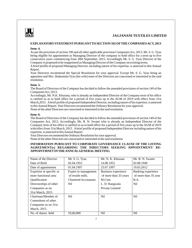

# **EXPLANATORYSTATEMENTPURSUANTTO SECTION 102 OFTHE COMPANIES ACT, 2013**

#### **Item- 4.**

As per the provision of section 196 and all other applicable provision Companies Act, 2013. Mr. S. G. Vyas being eligible for appointment as Managing Director of the company to hold office for a term up to five consecutive years commencing from 30th September, 2015. Accordingly Mr. S. G. Vyas Director of the Company is proposed to be reappointed as Managing Director of the Company on existing terms.

A brief profile of proposed Managing Director, including nature of his expertise, is annexed in this Annual Report.

Your Directors recommend the Special Resolution for your approval. Except Mr. S. G. Vyas being an appointee and Mrs. Shakuntala Vyas (his wife) none of the Directors are concerned or interested in the said resolution.

#### **Item- 5.**

The Board of Directors of the Company has decided to follow the amended provisions of section 149 of the Companies Act, 2013.

Accordingly, Mr. N.K. Khurana, who is already an Independent Director of the Company term of his office is ratified so as to hold office for a period of five years up to the AGM of 2019 with effect from 31st March,2015. Abrief profile of proposed Independent Director, including nature of his expertise, is annexed in this Annual Report. Your Directors recommend the Ordinary Resolution for your approval. None of the other Directors are concerned or interested in the said resolution.

#### **Item- 6.**

The Board of Directors of the Company has decided to follow the amended provisions of section 149 of the Companies Act, 2013. Accordingly, Mr. R. N. Swami who is already an Independent Director of the Company term of his office is ratified so as to hold office for a period of five years up to the AGM of 2019 with effect from 31st March, 2015. Abrief profile of proposed Independent Director including nature of his expertise, is annexed in this Annual Report.

Your Directors recommend the Ordinary Resolution for your approval.

None of the other Directors are concerned or interested in the said resolution

#### **INFORMATION PURSUANT TO CORPORATE GOVERNANCE CLAUSE OF THE LISTING AGREEMENT(s) REGARDING THE DIRECTORS SEEKING APPOINTMENT/ RE-APPOINTMNETIN THE ANNUALGENERALMEETING**

| Name of the Director     | Mr. S. G. Vyas              | Mr. N. K. Khurana     | Mr. R. N. Swami      |
|--------------------------|-----------------------------|-----------------------|----------------------|
| Date of Birth            | 05.04.1953                  | 14.08.1952            | 02.08.1949           |
| Date of appointment      | 01.04.1997                  | 23.07.1997            | 19.03.2012           |
| Expertise in specific or | Expert in management        | Business experience   | Banking experience   |
| more functional area     | of textile mills.           | of more than 33 years | of more than 35 year |
| <b>Qualification</b>     | <b>Chartered Accountant</b> | M.Com                 | B.A.                 |
| Directorships of other   | Nil.                        | L. D. Rangwala        | N <sub>i</sub>       |
| Companies as on          |                             | Private Limited       |                      |
| 31st March, 2015         |                             |                       |                      |
| Chairman/Member of       | N <sub>il</sub>             | <b>Nil</b>            | N <sub>i</sub> l     |
| Committees of other      |                             |                       |                      |
| Companies as on 31st     |                             |                       |                      |
| March, 2015.             |                             |                       |                      |
| No. of shares held       | 10,60,000                   | N <sub>il</sub>       | Nil                  |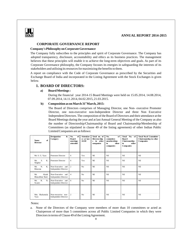

#### **CORPORATE GOVERNANCE REPORT**

#### **Company's Philosophy on Corporate Governance**

The Company fully subscribes to the principles and spirit of Corporate Governance. The Company has adopted transparency, disclosure, accountability and ethics as its business practices. The management believes that these principles will enable it to achieve the long-term objectives and goals. As part of its Corporate Governance philosophy, the Company focuses its energies in safeguarding the interests of its stakeholders and utilising its resources for maximizing the benefits to them.

A report on compliance with the Code of Corporate Governance as prescribed by the Securities and Exchange Board of India and incorporated in the Listing Agreement with the Stock Exchanges is given below.

### **1. BOARD OF DIRECTORS:**

#### **a) Board Meetings :**

During the financial year 2014-15 Board Meetings were held on 15.05.2014, 14.08.2014, 07.09.2014, 14.11.2014, 04.02.2015, 21.03.2015.

#### **b**) Composition as on March 31<sup>st</sup> March, 2015:

The Board of Directors comprises of Managing Director, one Non- executive Promoter Director, one non-executive non-Independent Director and three Non Executive Independent Directors. The composition of the Board of Directors and their attendance at the Board Meetings during the year and at last Annual General Meeting of the Company as also the number of Directorship/Chairmanship of Board and Chairmanship/Membership of Committees (as stipulated in clause 49 of the listing agreement) of other Indian Public Limited Companies are as follows:

| of<br><b>Name</b><br><b>Director</b> | <b>Designation</b><br>&<br>Category        | No.<br>of<br>Board<br>meetings<br>attended | <b>Attendan</b><br>ce at last<br>AGM | Total no. of<br>Directorship<br>s in other<br>companies | No.<br>of<br>committee<br>memberships<br>in<br>other<br>companies | No. of<br>Total<br><b>Board</b><br>Chairmanship<br>in<br>other<br>Companies | <b>Total No.of Committee</b><br>Chairmanship in other<br>Companies |
|--------------------------------------|--------------------------------------------|--------------------------------------------|--------------------------------------|---------------------------------------------------------|-------------------------------------------------------------------|-----------------------------------------------------------------------------|--------------------------------------------------------------------|
| Mr. S. G. Vyas                       | Promoter Director                          | 6                                          | Yes                                  | Ni1                                                     | Nil                                                               | Nil                                                                         | Nil                                                                |
| S.<br>K.<br>Mr.<br>Singhal           | Promoter Director                          | 6                                          | Yes                                  | Ni1                                                     | Nil                                                               | Nil                                                                         | Nil                                                                |
| $N_{\cdot}$<br>K.<br>Mr.<br>Khurana  | Non-Executive and<br>Independent Director  | $\overline{c}$                             | N <sub>o</sub>                       | Ni1                                                     | Nil                                                               | Nil                                                                         | Nil                                                                |
| Akash<br>Mr.<br>Bharatbhai Shah      | Non-Executive and<br>Independent Director  | $\overline{4}$                             | N <sub>o</sub>                       | Ni1                                                     | Nil                                                               | Nil                                                                         | Nil                                                                |
| R.<br>N.<br>Mr.<br>Swami             | Non-Executive and<br>Independent Director  | 6                                          | N <sub>o</sub>                       | Nil                                                     | Nil                                                               | Nil                                                                         | Nil                                                                |
| Mrs. Shakuntala<br>Vyas              | Non-executive non-<br>Independent Director | $\overline{2}$                             | N <sub>o</sub>                       | Nil                                                     | Nil                                                               | Nil                                                                         | Nil                                                                |

Notes:

a. None of the Directors of the Company were members of more than 10 committees or acted as Chairperson of more than 5 committees across all Public Limited Companies in which they were Directors in terms of Clause 49 of the Listing Agreement.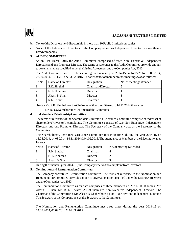

- b. None of the Directors held directorship in more than 10 Public Limited companies.
- c. None of the Independent Directors of the Company served as Independent Director in more than 7 listed companies.

#### **3. AUDITCOMMITTEE:**

As on 31st March, 2015 the Audit Committee comprised of three Non- Executive, Independent Directors and one Promoter Director. The terms of reference to the Audit Committee are wide enough to cover all matters specified under the Listing Agreement and the Companies Act, 2013.

The Audit Committee met Five times during the financial year 2014-15 on 14.05.2014, 13.08.2014, 03.09.2014, 13.11.2014 & 03.02.2015. The attendance of members at the meetings was as follows:

| Sr. No. | Name of Director | Designation       | No. of meetings attended |
|---------|------------------|-------------------|--------------------------|
|         | S.K. Singhal     | Chairman/Director |                          |
|         | N. K. Khurana    | Director          |                          |
|         | Akash B. Shah    | Director          |                          |
|         | R.N. Swami       | Chairman          |                          |

Note:- Mr. S.K. Singhal was the Chairman of the committee up to 14.11.2014 thereafter

Mr. R.N. Swami became Chairman of the Committee.

#### **4. Stakeholders Relationship Committee:**

The terms of reference of the Shareholders'/Investor`s Grievance Committee comprise of redressal of shareholders'/investor`s complaints. The Committee consists of two Non-Executive, Independent Directors and one Promoter Director. The Secretary of the Company acts as the Secretary to the Committee.

The Shareholders'/ Investors' Grievance Committee met Four times during the year 2014-15 on 15.05.2014, 14.08.2014, 14.11.2014 & 04.02.2015. The attendance of Members at the Meetings was as follows:

| Sr.No | Name of Director | Designation | No. of meetings attended |
|-------|------------------|-------------|--------------------------|
|       | S. K. Singhal    | Chairman    |                          |
|       | N. K. Khurana    | Director    |                          |
|       | Akash B. Shah    | Director    |                          |

During the financial year 2014-15, the Company received no complaint from investors.

#### **5. Nomination and Remuneration Committee:**

The Company constituted Remuneration committee. The terms of reference to the Nomination and Remuneration Committee are wide enough to cover all matters specified under the Listing Agreement and the Companies Act, 2013.

The Remuneration Committee as on date comprises of three members i.e. Mr. N. K. Khurana, Mr. Akash B. Shah, Mr. R. N. Swami. All of them are Non-Executive Independent Directors. The Chairman of the Committee is Mr. Akash B. Shah who is a Non-Executive and Independent Director. The Secretary of the Company acts as the Secretary to the Committee.

The Nomination and Remuneration Committee met three times during the year 2014-15 on 14.08.2014, 01.09.2014 & 16.03.2015.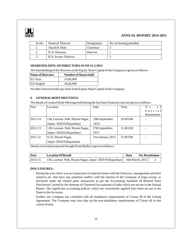

| Sr.No. | Name of Director    | Designation | No. of meeting attended |
|--------|---------------------|-------------|-------------------------|
|        | Akash B. Shah       | Chairman    |                         |
|        | N. K. Khurana       | Director    |                         |
|        | R.N. Swami Director |             |                         |

#### **SHAREHOLDING OFDIRECTORS AS ON 31.3.2015**

The shareholding of the Directors in the Equity Share Capital of the Company is given as follows:

| <b>Name of Directors</b> | <b>Number of Shares held</b> |
|--------------------------|------------------------------|
| $ S \, G \, V$ yas       | 10,60,000                    |
| <b>S</b> K Singhal       | 34,04,000                    |

No other Director holds any share in the Equity Share Capital of the Company.

### **6. GENERALBODYMEETINGS:**

The details of General Body Meetings held during the last three financial years are given as follows:

| Year          | Location                       | Date               | Time     | $\circ$ f<br>$N_{0}$ . |
|---------------|--------------------------------|--------------------|----------|------------------------|
|               |                                |                    |          | $S$ p e c i a $1$      |
|               |                                |                    |          | Resolutions            |
| $ 2013 - 14 $ | 138, Laxman Path, Shyam Nagar, | 29th September,    | 10.00 AM |                        |
|               | Jaipur-302019 (Rajasthan)      | 2014               |          |                        |
| $ 2012-13 $   | 138, Laxman Path, Shyam Nagar, | 27th September,    | 11.00 AM |                        |
|               | Jaipur-302019 (Rajasthan)      | 2013               |          |                        |
| $ 2011-12 $   | S-25, Shyam Nagar,             | 31st January, 2013 | 11.00 AM |                        |
|               | Jaipur-302019 (Rajasthan)      |                    |          |                        |

Details of resolution passed through Postal Ballot is given as follows;

| Year        | <b>Location Of Result</b>                                                 | <b>Date</b> | <b>No. Resolutions</b> |
|-------------|---------------------------------------------------------------------------|-------------|------------------------|
| $ 2014-15 $ | 138, Laxman Path, Shyam Nagar, Jaipur-302019 (Rajasthan) 16th March, 2015 |             |                        |

#### **DISCLOSURES:**

During the year, there was no transaction of material nature with the Directors, management and their relatives etc. that have any potential conflict with the interest of the Company at large except, as disclosed under the related party transaction as per the Accounting Standard 18 Related Party Disclosures'issued by the Institute of Chartered Accountants of India which are set out in the Annual Report. The significant accounting policies which are consistently applied have been set out in the Notes to the Accounts.

Further, the Company has complied with all mandatory requirements of Clause 49 of the Listing Agreement. The Company may also take up the non-mandatory requirements of Clause 49 in due course of time.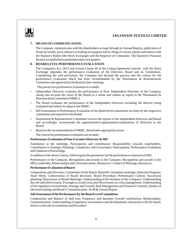

#### **7. MEANS OFCOMMUNICATION:**

The Company communicates with the shareholders at large through its Annual Reports, publication of financial results, press releases in leading newspapers and by filing of various reports and returns with the Statutory Bodies like Stock Exchanges and the Registrar of Companies. The Quarterly Financial Results are published in prominent daily newspapers.

#### **8. BOARD LEVELPERFORMANCE EVALUATION**

The Companies Act, 2013 and revised Clause 49 of the Listing Agreement entered with the Stock Exchange stipulates the performance evaluation of the Directors, Board and its Committees. Considering the said provisions, the Company has devised the process and the criteria for the performance evaluation which has been recommended by the Nomination & Remuneration Committee and approved by the Board at their meetings

The process for performance evaluation is as under:

- Independent Directors evaluates the performance of Non- Independent Directors of the Company taking into account the views of the Board as a whole and submit its report to the Nomination & Remuneration Committee (N&RC).
- The Board evaluates the performance of the Independent Directors excluding the director being evaluated and submit its report to the N&RC.
- Self Assessment of Performance Evaluation of the Board level committees are done by the respective committees and reported to the Board.
- Nomination & Remuneration Committee reviews the reports of the Independent Directors and Board and accordingly, recommends the appointment/re-appointment/continuation of Directors to the Board.
- Based on the recommendation of N&RC, Board takes appropriate action.

The criteria for performance evaluation are as under

#### **Performance Evaluation of Non-Executive Directors & MD**

Attendance at the meetings; Participation and contribution; Responsibility towards stakeholders; Contribution in Strategic Planning; Compliance and Governance; Participation; Performance Evaluation and Updation of Knowledge.

In addition to the above criteria, following are the parameters for the performance evaluation of MD.

Performance of the Company; Recognition and awards to the Company; Recognition and awards to the MD; Leadership; Relationships and Communications; Resources; Conduct of Meetings; Resources.

#### **Performance Evaluation of Board**

Composition and Diversity; Committees of the Board; Board & Committee meetings; Induction Program; Team Work; Cohesiveness of Board decisions; Board Procedure; Performance Culture; Succession planning; Discussions at Board Meetings; Understanding of the business of the Company; Understanding the role and effectiveness; Foresight to avoid crisis and effectiveness in crisis management; Understanding of the regulatory environment; Strategy and Growth; Risk Management and Financial Controls; Quality of Decision making and Board's Communication, AGM & Annual Report.

#### **Self Assessment of the Performance by the Board Level Committees**

Composition and Balance of skill sets; Frequency and duration; Overall contribution; Relationships; Communication; Understanding of regulatory environment and developments; Interaction with the board; Justice to the role of committee and Procedure.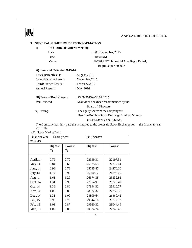

#### **9. GENERALSHAREHOLDERS'INFORMATION**

# **i) 18th Annual General Meeting**

| Date  | : 30th September, 2015                       |
|-------|----------------------------------------------|
| Time  | : 10.00 AM                                   |
| Venue | : E-228, RIICo Industrial Area Bagru Extn-I, |
|       | Bagru, Jaipur-303007                         |

#### **ii) Financial Calendar 2015-16**

| <b>First Quarter Results</b> | : August, $2015$                                |
|------------------------------|-------------------------------------------------|
| Second Quarter Results       | : November, $2015$                              |
| <b>Third Quarter Results</b> | : February, $2016$                              |
| <b>Annual Results</b>        | : May, 2016.                                    |
|                              |                                                 |
| iii) Dates of Book Closure   | $\div$ 23.09.2015 to 30.09.2015                 |
| iv) Dividend                 | : No dividend has been recommended by the       |
|                              | <b>Board of Directors</b>                       |
| v) Listing                   | : The equity shares of the company are          |
|                              | listed on Bombay Stock Exchange Limited, Mumbai |
|                              | (BSE). Stock Code: <b>532825</b> .              |

The Company has duly paid the listing fee to the aforesaid Stock Exchange for the financial year 2015-16.

| <b>Financial Year</b><br>Share prices |              |              | <b>BSE</b> Sensex |          |
|---------------------------------------|--------------|--------------|-------------------|----------|
| 2014-15                               |              |              |                   |          |
|                                       | Highest      | Lowest       | Highest           | Lowest   |
|                                       | $^{\prime})$ | $^{\prime})$ |                   |          |
|                                       |              |              |                   |          |
| April, 14                             | 0.79         | 0.70         | 22939.31          | 22197.51 |
| May, 14                               | 0.84         | 0.68         | 25375.63          | 22277.04 |
| June, $14$                            | 0.92         | 0.76         | 25735.87          | 24270.20 |
| July, 14                              | 1.77         | 0.92         | 26300.17          | 24892.00 |
| Aug., 14                              | 1.61         | 1.20         | 26674.38          | 25232.82 |
| Sept., 14                             | 1.31         | 0.95         | 27354.99          | 26220.49 |
| Oct., 14                              | 1.32         | 0.80         | 27894.32          | 25910.77 |
| Nov.14                                | 1.06         | 0.80         | 28822.37          | 27739.56 |
| Dec., 14                              | 1.31         | 1.00         | 28809.64          | 26469.42 |
| Jan., 15                              | 0.99         | 0.75         | 29844.16          | 26776.12 |
| Feb., 15                              | 1.03         | 0.87         | 29560.32          | 28044.49 |
| Mar., 15                              | 1.02         | 0.86         | 30024.74          | 27248.45 |

vii) Stock Market Data: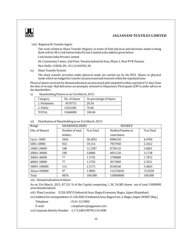

#### viii) Registrar & Transfer Agent:

The work related to Share Transfer Registry in terms of both physical and electronic mode is being dealt with by M/s Link Intime India Private Limited at the address given below:

Link Intime India Private Limited

44, Community Centre, 2nd Floor, Naraina Industrial Area, Phase-I, Near PVR Naraina New Delhi-110028, Ph.: 011-41410592, 94

ix) Share Transfer System:

The share transfer activities under physical mode are carried out by the RTA. Shares in physical mode which are lodged for transfer are processed and returned within the stipulated time.

Physical shares received for dematerialization are processed and completed within a period of 21 days from the date of receipt. Bad deliveries are promptly returned to Depository Participants (DP's) under advice to the shareholders.

| Category     | No. of shares | As percentage of shares |
|--------------|---------------|-------------------------|
| 1. Promoters | 4576715       | 29.34                   |
| 2. Public    | 11023285      | 70.66                   |
| <b>TOTAL</b> | 15600000      | 100.00                  |

x) Shareholding Pattern as on 31st March, 2015:

#### xi) Distribution of Shareholding as on 31st March, 2015:

| Range           | <b>SHAREHOLDERS</b> |            | <b>SHARES</b>    |            |
|-----------------|---------------------|------------|------------------|------------|
| (No. of Shares) | Number of total     | % to Total | HoldersNumber to | % to Total |
|                 | holders             |            | total shares     |            |
| $Up$ to $-5000$ | 2842                | 58.2855    | 6986250          | 4.4784     |
| 5001-10000      | 932                 | 19.114     | 7957930          | 5.1012     |
| 10001-20000     | 548                 | 11.2387    | 8736110          | 5.6001     |
| 20001-30000     | 190                 | 3.8966     | 4951120          | 3.1738     |
| 30001-40000     | 77                  | 1.5792     | 2788080          | 1.7872     |
| 40001-50000     | 77                  | 1.5792     | 3673960          | 2.3551     |
| 50001-100000    | 113                 | 2.3175     | 8530540          | 5.4683     |
| Above 100000    | 97                  | 1.9893     | 112376010        | 72.0359    |
| Total           | 4876                | 100,000    | 156000000        | 100.000    |

xii) Dematerialization of shares:

As on 31st March, 2015, 87.531 % of the Capital comprising 1, 36, 54,985 shares out of total 15600000 were dematerialized.

xiv)Addressfor correspondence:E-228,RIICOIndustrialArea,BagruExtn.-I,Bagru,Jaipur-303007(Raj.)

| Telephone | $: 0141 - 5123802$ |
|-----------|--------------------|
|-----------|--------------------|

E-mail : compliance@jagjanani.com

xv) Corporate Identity Number : L17124RJ1997PLC013498

xiii) Plant Location: E228, RIICO Industrial Area, Bagru Extension, Bagru, Jaipur (Rajasthan)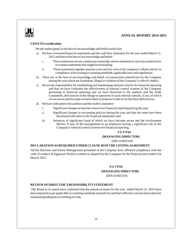

#### **CEO/CFO certification**

We the undersigned, to the best of our knowledge and belief certify that:

- a) We have reviewed financial statements and the cash flow statement for the year ended March 31, 2015 and that to the best of our knowledge and belief:
	- i. These statements do not contain any materially untrue statement or omit any material fact or contain statements that might be misleading;
	- ii. These statements together present a true and fair view of the company's affairs and are in compliance with existing accounting standards, applicable laws and regulations.
- b) There are, to the best of our knowledge and belief, no transactions entered into by the Company during the year which are fraudulent, illegal or violative of the Company's code of conduct.
- c) We accept responsibility for establishing and maintaining internal controls for financial reporting and that we have evaluated the effectiveness of internal control systems of the Company pertaining to financial reporting and we have disclosed to the auditors and the Audit Committee, deficiencies in the design or operation of such internal controls, if any, of which we are aware and the steps we have taken or propose to take to rectify these deficiencies.
- d) We have indicated to the auditors and the Audit Committee:
	- i. Significant changes in internal control over financial reporting during the year;
	- ii. Significant changes in accounting policies during the year and that the same have been disclosed in the notes to the financial statements; and
	- iii. Instances of significant fraud of which we have become aware and the involvement therein, if any, of the management or an employee having a significant role in the Company's internal control system over financial reporting.

#### **S G VYAS**

#### **(MANAGING DIRECTOR)**

#### (DIN-01905310)

#### **DECLARATION AS REQUIRED UNDER CLAUSE 49 OFTHE LISTING AGREEMENT**

All the Directors and Senior Management personnel of the Company have affirmed compliance with the code of conduct of Jagjanani Textiles Limited as adopted by the Company for the financial year ended 31st March, 2015.

#### **S G VYAS**

#### **(MANAGING DIRECTOR)**

(DIN-01905310)

#### **REVIEWOFDIRECTOR`S RESONSIBILITYSTATEMENT**

The Board in its report have confirmed that the annual accounts for the year ended March 31, 2015 have been prepared as per applicable accounting standards and policies and that sufficient care has been taken for maintaining adequate accounting records.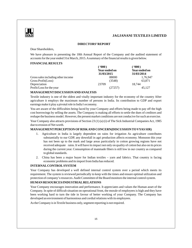

#### **DIRECTORS'REPORT**

Dear Shareholders,

We have pleasure in presenting the 18th Annual Report of the Company and the audited statement of accounts for the year ended 31st March, 2015. Asummary of the financial results is given below.

#### **FINANCIALRESULTS**

|                                    | (900)                | (000)                |
|------------------------------------|----------------------|----------------------|
|                                    | <b>Year ended on</b> | <b>Year ended on</b> |
|                                    | 31/03/2015           | 31/03/2014           |
| Gross sales including other income | 88000                | 1,76,947             |
| Gross Profit(Loss)                 | (3548)               | 63,871               |
| Depreciation                       | 23709                | 18.744               |
| Profit/Loss for the year           | (27257)              | 45.127               |
|                                    |                      |                      |

#### **MANAGEMENTDISCUSSION AND ANALYSIS**

Textile industry is one of the oldest and vitally important industry for the economy of the country After agriculture it employs the maximum number of persons in India. Its contribution to GDP and export earnings make it play a pivotal role in India's economy.

You are aware of the difficulties being faced by your Company and efforts being made to pay off the high cost borrowings by selling the assets. The Company is making all efforts to settle the dues of creditors and reshape the business model. However, the present market conditions are not conducive for such an exercise.

Your Company also attracts provisions of Section 23 (1) (a) (i) of The Sick Industrial Companies Act, 1985 due to erosion of Net worth.

#### **MANAGEMENTPERCEPTION OFRISK AND CONCERN(DISCUSSION TO VYAS SIR)**

- 1. Agriculture in India is largely dependent on rains for irrigation As agriculture contributes substantially to our GDP, any downfall in agri production affects economy. Monsoon this year has not been up to the mark and large areas particularly in cotton growing regions have not received adequate rains. It will have its impact not only on quality of cotton but also on its prices during the current year. Consumption of manmade fibers is still low in our country as compared to global standards.
- 2. China has been a major buyer for Indian textiles yarn and fabrics. That country is facing economic problems and its import from India has reduced.

#### **INTERNALCONTROLSYSTEM**

Your Company has developed a well defined internal control system over a period which meets its requirement. The system is reviewed periodically to keep with the times and ensure optimal utilization and protection of company's resources. Audit Committee of the Board monitors the internal control system.

#### **HUMAN RESOURCES/INDUSTRIALRELATIONS**

Your Company encourages innovation and performance. It appreciates and values the Human asset of the Company. In spite of difficult situation on operational front, the morale of employees is high and they have been working hard to turn the tide in favour of better working of your Company. The Company has developed an environment of harmonious and cordial relations with its employees.

As the Company is in Textile business only, segment reporting is not required.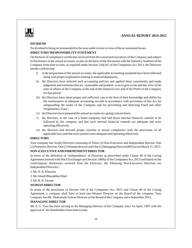

#### **GOLD ANNUAL REPORT 2014-2015**

#### **DIVIDEND**

No dividend is being recommended for the year under review in view of the accumulated losses.

#### **DIRECTORS'RESPONSIBILITYSTATEMENT**

On the basis of compliance certificates received from the concerned executives of the Company and subject to disclosures in the annual accounts, as also on the basis of the discussion with the Statutory Auditors of the Company from time to time, as required under Section 134(3)© of the Companies Act 2013, the Directors hereby confirm that:

- i) in the preparation of the annual accounts, the applicable accounting standards have been followed along with proper explanation relating to material departures;
- ii) the Directors have selected such accounting policies and applied them consistently and made judgments and estimates that are reasonable and prudent so as to give a true and fair view of the state of affairs of the Company at the end of the financial year and of the Profit of the Company for that period ;
- iii) the Directors have taken proper and sufficient care to the best of their knowledge and ability for the maintenance of adequate accounting records in accordance with provisions of this Act for safeguarding the assets of the Company and for preventing and detecting fraud and other irregularities, if any ;
- iv) the Directors have prepared the annual accounts on a going concern basis.
- v) the directors, in the case of a listed company, had laid down internal financial controls to be followed by the company and that such internal financial controls are adequate and were operating effectively.
- vi) the directors had devised proper systems to ensure compliance with the provisions of all applicable laws and that such systems were adequate and operating effectively.

#### **DIRECTORS**

Your company has Six(6) Directors consisting of Three (3) Non-Executive and Independent director, One (1) Promoter Director, One (1) Woman director and One (1) Managing Director(MD) as on March 31, 2015.

#### **NON-EXECUTIVE AND INDEPENDENTDIRECTOR**

In terms of the definition of 'Independence' of Directors as prescribed under Clause 49 of the Listing Agreement entered with Stock Exchanges and Section 149(6) of the Companies Act, 2013 and based on the confirmation/ disclosures received from the Directors, the following Non-Executive Directors are Independent Directors:-

1. Mr. N. K. Khurana

2. Mr. Akash Bharatbhai Shah

3. Mr. R. N. Swami

#### **WOMAN DIRECTOR**

In terms of the provisions of Section 149 of the Companies Act, 2013 and Clause 49 of the Listing Agreement, a company shall have at least one Woman Director on the Board of the company. Your Company has Ms. Shakuntala Vyas as Director on the Board of the Company since September 2014.

#### **MANAGING DIRECTOR**

Mr. S. G. Vyas has been serving as the Managing Director of the Company since 1st April, 1997 with the approval of the shareholders from time to time.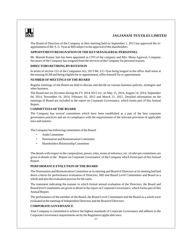

The Board of Directors of the Company at their meeting held on September 1, 2015 has approved the reappointment of Mr. S. G. Vyas as MD subject to the approval of the shareholders.

#### **APPOINTMENT/RESIGNATION OFTHE KEYMANAGERIALPERSONNEL**

Mr. Manish Kumar Jain has been appointed as CFO of the company and Mrs. Manu Agarwal, Company Secretary of the Company has resigned from the services of the Company for personal reasons.

#### **DIRECTORS RETIRING BYROTATION**

In terms of section 152 of the Companies Act, 2013 Mr. S.G Vyas being longest in the office shall retire at the ensuing AGM and being eligible for re-appointment, offers himself for re-appointment.

#### **NUMBER OFMEETINGS OFTHE BOARD**

Regular meetings of the Board are held to discuss and decide on various business policies, strategies and other business.

The Board met six (6) times during the FY 2014-2015 viz. on May 15, 2014, August 14, 2014, September 04, 2014, November 14, 2014, February 02, 2015 and March 21, 2015. Detailed information on the meetings of Board are included in the report on Corporate Governance, which forms part of this Annual Report.

#### **COMMITTEES OFTHE BOARD**

The Company has several committees which have been established as a part of the best corporate governance practices and are in compliance with the requirements of the relevant provision of applicable laws and statutes.

The Company has following committees of the Board:

- Audit Committee
- Nomination and Remuneration Committee
- Shareholders Relationship Committee

The details with respect to the composition, power, roles, terms of reference, etc. of relevant committees are given in details in the ' Report on Corporate Governance'of the Company which forms part of this Annual Report.

#### **PERFORMANCE EVALUTION OFTHE BOARD**

The Nomination and Remuneration Committee at its meeting and Board of Directors at its meeting had laid down criteria for performance evaluation of Directors, MD and Board Level Committees and Board as a whole and also the evaluation process for the same.

The statement indicating the manner in which formal annual evaluation of the Directors, the Board and Board level Committees are given in detail in the report on Corporate Governance, which forms part of this Annual Report.

The performance of the member of the Board, the Board Level Committees and the Board as a whole were evaluated at the meeting of Independent Directors and the Board of Directors.

#### **CORPORATE GOVERNANCE**

Your Company is committed to achieve the highest standards of Corporate Governance and adheres to the Corporate Governance requirements set by the Regulators/applicable laws.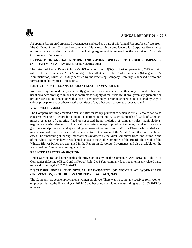

A Separate Report on Corporate Governance is enclosed as a part of this Annual Report. A certificate from M/s G. Dutta & co., Chartered Accountants, Jaipur regarding compliance with Corporate Governance norms stipulated under Clause 49 of the Listing Agreement is annexed to the Report on Corporate Governance as Annexure-1.

#### **EXTRACT OF ANNUAL RETURN AND OTHER DISCLOSURE UNDER COMPANIES (APPONITMENT& REMUNERATION) Rules, 2014**

The Extract of Annual Return in form MGT-9 as per section 134(3)(a) of the Companies Act, 2013read with rule 8 of the Companies Act (Accounts) Rules, 2014 and Rule 12 of Companies (Management & Administration) Rules, 2014 duly certified by the Practising Company Secretary is annexed hereto and forms part of this report as Annexure-2.

#### **PARTICULARS OFLOANS, GUARANTEES OR INVESTMENTS**

Your company has not directly or indirectly given any loan to any person or other body corporate other than usual advances envisaged in business contracts for supply of materials etc. if any, given any guarantee or provide security in connection with a loan to any other body corporate or person and acquired by way of subscription purchase or otherwise, the securities of any other body corporate except as stated.

#### **VIGILMECHANISM**

The Company has implemented a Whistle Blower Policy pursuant to which Whistle Blowers can raise concerns relating to Reportable Matters (as defined in the policy) such as breach of Code of Conduct, misuse or abuse of authority, fraud or suspected fraud, violation of company rules, manipulations, negligence causing danger to public health and safety, misappropriation of monies, genuine concerns or grievances and provides for adequate safeguards against victimization of Whistle Blower who avail of such mechanism and also provides for direct access to the Chairman of the Audit Committee, in exceptional cases. The functioning of the Vigil mechanism is reviewed by the Audit Committee from time to time. None of the Whistle Blowers have been denied access to the Audit Committee of the Board. The details of the Whistle Blower Policy are explained in the Report on Corporate Governance and also available on the website of the Company (www.jagjanajni.com).

#### **RELATED PARTYTRANSECTION**

Under Section 188 and other applicable provision, if any, of the Companies Act, 2013 and rule 15 of Companies (Meeting of Board and its Power)Rule, 2014 Your company does not enter in any related party transaction during the F.Y2014-2015.

#### **DISCLOSER UNDER THE SEXUAL HARASSMENT OF WOMEN AT WORKPLACE (PREVENTION, PROHIBITION AND REDRESSAL) ACT, 2013**

The Company has been employing one women employee. There was no complaint received form women employees during the financial year 2014-15 and hence no complaint is outstanding as on 31.03.2015 for redressal.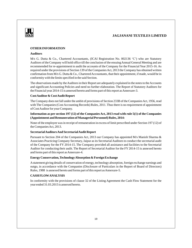

#### **OTHER INFORMATION**

#### **Auditors**

M/s G. Dutta & Co., Chartered Accountants, (ICAI Registration No. 002136 'C') who are Statutory Auditors of the Company will hold office till the conclusion of the ensuing Annual General Meeting and are recommended for re-appointment to audit the accounts of the Company for the Financial Year 2015-16. As required under the provisions of Section 139 of the Companies Act, 2013 the Company has obtained written confirmation from M/s G. Dutta & Co., Chartered Accountants, that their appointment, if made, would be in conformity with the limits specified in the said Section.

The observations made by the Auditors in their Report are adequately explained in the notes to the Accounts and significant Accounting Policies and need no further elaboration. The Report of Statutory Auditors for the Financial year 2014-15 is annexed hereto and forms part of this report as Annexure-3.

#### **Cost Auditor& Cost Audit Report**

The Company does not fall under the ambit of provisions of Section 233B of the Companies Act, 1956, read with The Companies (Cost Accounting Records) Rules, 2011. Thus there is no requirement of appointment of Cost Auditor for your Company.

**Information as per section 197 (12) of the Companies Act, 2013 read with rule 5(1) of the Companies (Appointment and Remuneration of Managerial Personnel) Rules, 2014:**

None of the employee was in receipt of remuneration in excess of limit prescribed under Section 197 (12) of the Companies Act, 2013.

#### **Secretarial Auditors And Secretarial Audit Report**

Pursuant to Section 204 of the Companies Act, 2013 our Company has appointed M/s Manish Sharma & Associates Practicing Company Secretary, Jaipur as its Secretarial Auditors to conduct the secretarial audit of the Company for the FY 2014-15. The Company provided all assistance and facilities to the Secretarial Auditor for conducting their audit. The Report of Secretarial Auditor for the FY 2014-15 is annexed hereto and forms part of this report as Annexure-4.

#### **Energy Conservation, Technology Absorption & Foreign Exchange**

Astatement giving details of conservation of energy, technology absorption, foreign exchange earnings and outgo, in accordance with the Companies (Disclosure of Particulars in the Report of Board of Directors) Rules, 1988 is annexed hereto and forms part of this report as Annexure-5.

#### **CASH FLOWANALYSIS**

In conformity with the provisions of clause 32 of the Listing Agreement the Cash Flow Statement for the year ended 31.03.2015 is annexed hereto.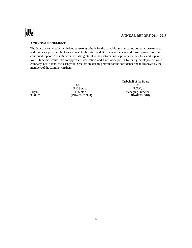

#### **ACKNOWLEDGEMENT**

The Board acknowledges with deep sense of gratitude for the valuable assistance and cooperation extended and guidance provided by Government Authorities, and Business associates and looks forward for their continued support. Your Directors are also grateful to the customers & suppliers for their trust and support. Your Directors would like to appreciate dedication and hard work put in by every employee of your company. Last but not the least, your Directors are deeply grateful for the confidence and faith shown by the members of the Company in them.

 $Sd$ - $Sd$ -

On behalf of the Board,<br>Sd/-<br>Sd/-S.K.Singhal S.G.Vyas<br>
Director Managing Director Jaipur. Director Managing Director  $(DIN-01905310)$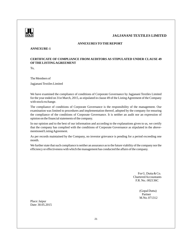

#### **ANNEXURES TO THE REPORT**

#### **ANNEXURE-1**

#### **CERTIFICATE OF COMPLIANCE FROM AUDITORS AS STIPULATED UNDER CLAUSE 49 OFTHE LISTING AGREEMENT**

To,

The Members of

Jagjanani Textiles Limited

We have examined the compliance of conditions of Corporate Governance by Jagjanani Textiles Limited for the year ended on 31st March, 2015, as stipulated in clause 49 of the Listing Agreement of the Company with stock exchange.

The compliance of conditions of Corporate Governance is the responsibility of the management. Our examination was limited to procedures and implementation thereof, adopted by the company for ensuring the compliance of the conditions of Corporate Governance. It is neither an audit nor an expression of opinion on the financial statements of the company.

In our opinion and to the best of our information and according to the explanations given to us, we certify that the company has complied with the conditions of Corporate Governance as stipulated in the abovementioned Listing Agreement.

As per records maintained by the Company, no investor grievance is pending for a period exceeding one month.

We further state that such compliance is neither an assurance as to the future viability of the company nor the efficiency or effectiveness with which the management has conducted the affairs of the company.

> For G. Dutta & Co. Chartered Accountants F.R. No.: 002136C

 (Gopal Dutta) **Partner** M.No. 071312

Place: Jaipur Date: 30.05.2015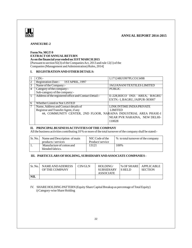



#### **ANNEXURE-2**

#### **Form No. MGT-9 EXTRACTOFANNUALRETURN As on the financial year ended on 31STMARCH 2015** [Pursuant to section 92(3) of the Companies Act, 2013 and rule 12(1) of the

Companies (Management and Administration) Rules, 2014]

#### **I. REGISTRATION AND OTHER DETAILS:**

|   | CIN:                                                             | L17124RJ1997PLCO13498             |
|---|------------------------------------------------------------------|-----------------------------------|
|   | Registration Date:- 1STAPRIL, 1997                               |                                   |
| 3 | Name of the Company:-                                            | <b>JAGJANANI TEXTILES LIMITED</b> |
| 4 | Category of the company:-                                        | <b>PUBLIC</b>                     |
|   | Sub-category of the company:-                                    |                                   |
|   | Address of the registered office and Contact Detail:-            | E-228, RIICO IND. AREA, BAGRU     |
|   |                                                                  | EXTN.-I, BAGRU, JAIPUR-303007     |
| 6 | Whether Listed or Not LISTED                                     |                                   |
|   | Name, Address and Contact details of                             | LINK INTIME INDIA PRIVATE         |
|   | Registrar and Transfer Agent, if any                             | <b>LIMITED</b>                    |
|   | 44, COMMUNITY CENTER, 2ND FLOOR, NARAINA INDUSTRIAL AREA PHASE-I |                                   |
|   |                                                                  | NEAR PVR NARAINA, NEW DELHI-      |
|   |                                                                  | 110028                            |

#### **II. PRINCIPALBUSINESS ACTIVITIES OFTHE COMPANY**

All the business activities contributing 10 % or more of the total turnover of the company shall be stated:-

| Sr. No. 1 | Name and Description of main | NIC Code of the | % to total turnover of the company |
|-----------|------------------------------|-----------------|------------------------------------|
|           | products/services            | Product/service |                                    |
|           | Manufacture of cotton and    | 13121           | 100%                               |
|           | blended fabrics.             |                 |                                    |

#### **III. PARTICULARS OFHOLDING, SUBSIDIARYAND ASSOCIATE COMPANIES -**

| Sr. No. I | <b>NAME AND ADDRESS</b><br>OF THE COMPANY | CIN/GLN | HOLDING/<br><b>SUBSIDIARY</b><br><b>ASSOCIATE</b> | I S HEI D | '% OF SHARE   APPLICABLE<br><b>SECTION</b> |
|-----------|-------------------------------------------|---------|---------------------------------------------------|-----------|--------------------------------------------|
| NIL       |                                           |         |                                                   |           |                                            |

IV. SHARE HOLDING PATTERN (Equity Share Capital Breakup as percentage of Total Equity) i) Category-wise Share Holding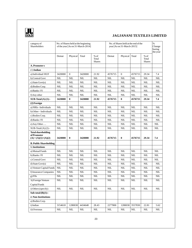

| category of<br>Shareholders                                       | No. of Shares held at the beginning<br>of the year [As on 31-March-2014] |              |              | No. of Shares held at the end of the<br>year [As on 31-March-2015] |            |                |              | $\%$<br>Change<br>buring<br>the year |      |
|-------------------------------------------------------------------|--------------------------------------------------------------------------|--------------|--------------|--------------------------------------------------------------------|------------|----------------|--------------|--------------------------------------|------|
|                                                                   | Demat                                                                    | Physical     | Total        | % of<br>Total<br><b>Shares</b>                                     | Demat      | Physical       | Total        | $%$ of<br>Total<br><b>Shares</b>     |      |
| A. Promoters                                                      |                                                                          |              |              |                                                                    |            |                |              |                                      |      |
| $(1)$ Indian                                                      |                                                                          |              |              |                                                                    |            |                |              |                                      |      |
| a) Individual/HUF                                                 | 3420000                                                                  | $\mathbf{0}$ | 3420000      | 21.92                                                              | 4576715    | $\overline{0}$ | 4576715      | 29.34                                | 7.4  |
| b) Central Govt                                                   | <b>NIL</b>                                                               | NIL          | NIL          | NIL                                                                | NIL        | NIL            | NIL          | NIL                                  | NIL  |
| c) State Govt $(s)$                                               | NIL                                                                      | <b>NIL</b>   | NIL          | NIL                                                                | NIL        | NIL            | $\mbox{NIL}$ | NIL                                  | NIL  |
| d) Bodies Corp.                                                   | NIL                                                                      | $\text{NIL}$ | NIL          | NIL                                                                | <b>NIL</b> | NIL            | NIL          | NIL                                  | NIL  |
| e) Banks/FI                                                       | $\text{NIL}$                                                             | $\text{NIL}$ | NIL          | NIL                                                                | <b>NIL</b> | NIL            | <b>NIL</b>   | NIL                                  | NIL  |
| f) Any other                                                      | $\text{NIL}$                                                             | $\text{NIL}$ | NIL          | NIL                                                                | NIL        | NIL            | NIL          | NIL                                  | NIL  |
| $SUB-Total(A)(1):$                                                | 3420000                                                                  | $\bf{0}$     | 3420000      | 21.92                                                              | 4576715    | $\bf{0}$       | 4576715      | 29.34                                | 7.4  |
| $(2)$ Foreign                                                     |                                                                          |              |              |                                                                    |            |                |              |                                      |      |
| a) NRIs - Individuals                                             | <b>NIL</b>                                                               | <b>NIL</b>   | NIL          | <b>NIL</b>                                                         | NIL        | NIL            | NIL          | NIL                                  | NIL  |
| b) Other-Individuals                                              | NIL                                                                      | <b>NIL</b>   | NIL          | NIL                                                                | NIL        | NIL            | $\rm NIL$    | NIL                                  | NIL  |
| c) Bodies Corp.                                                   | NIL                                                                      | <b>NIL</b>   | NIL          | NIL                                                                | NIL        | NIL            | NIL          | NIL                                  | NIL  |
| d) Banks/FI                                                       | NIL                                                                      | <b>NIL</b>   | NIL          | NIL                                                                | NIL        | NIL            | NIL          | NIL                                  | NIL  |
| e) Any Other                                                      | NIL                                                                      | NIL          | NIL          | <b>NIL</b>                                                         | NIL        | NIL            | NIL          | NIL                                  | NIL  |
| $SUB-Total(A)(2)$ :-                                              | NIL                                                                      | <b>NIL</b>   | NIL          | NIL                                                                | NIL        | NIL            | NIL          | NIL                                  | NIL  |
| <b>Total shareholding</b><br>of Promoter<br>$(A) = (A)(1)+(A)(2)$ | 3420000                                                                  | $\bf{0}$     | 3420000      | 21.92                                                              | 4576715    | 0              | 4576715      | 29.34                                | 7.4  |
| <b>B. Public Shareholding</b>                                     |                                                                          |              |              |                                                                    |            |                |              |                                      |      |
| 1. Institutions                                                   |                                                                          |              |              |                                                                    |            |                |              |                                      |      |
| a) Mutual Funds                                                   | NIL                                                                      | <b>NIL</b>   | NIL          | $\text{NIL}$                                                       | NIL        | NIL            | NIL          | NIL                                  | NIL  |
| b) Banks/FI                                                       | NIL                                                                      | <b>NIL</b>   | NIL          | NIL                                                                | NIL        | NIL            | NIL          | NIL                                  | NIL  |
| c) Central Govt                                                   | NIL                                                                      | <b>NIL</b>   | NIL          | NIL                                                                | NIL        | NIL            | NIL          | NIL                                  | NIL  |
| $d)$ State Govt $(s)$                                             | $\mbox{NIL}$                                                             | NIL          | <b>NIL</b>   | NIL                                                                | <b>NIL</b> | NIL            | NIL          | <b>NIL</b>                           | NIL  |
| e) Venture Capital Funds                                          | NIL                                                                      | <b>NIL</b>   | NIL          | NIL                                                                | NIL        | NIL            | NIL          | <b>NIL</b>                           | NIL  |
| f) Insurance Companies                                            | NIL                                                                      | NIL          | NIL          | NIL                                                                | NIL        | <b>NIL</b>     | NIL          | NIL                                  | NIL  |
| $g$ ) FIIs                                                        | NIL                                                                      | $\text{NIL}$ | NIL          | NIL                                                                | <b>NIL</b> | NIL            | <b>NIL</b>   | <b>NIL</b>                           | NIL  |
| h) Foreign Venture                                                | NIL                                                                      | $\mbox{NIL}$ | $\text{NIL}$ | $\rm NIL$                                                          | <b>NIL</b> | NIL            | $\mbox{NIL}$ | $\mbox{NIL}$                         | NIL  |
| Capital Funds                                                     |                                                                          |              |              |                                                                    |            |                |              |                                      |      |
| i) Others (specify)                                               | $\mbox{NIL}$                                                             | NIL          | NIL          | NIL                                                                | NIL        | NIL            | NIL          | NIL                                  | NIL  |
| Sub-total $(B)(1)$ :-                                             |                                                                          |              |              |                                                                    |            |                |              |                                      |      |
| 2. Non-Institutions                                               |                                                                          |              |              |                                                                    |            |                |              |                                      |      |
| a) Bodies Corp.                                                   |                                                                          |              |              |                                                                    |            |                |              |                                      |      |
| i) Indian                                                         | 3154618                                                                  | 1280030      | 4434648      | 28.43                                                              | 2277800    | 1280030        | 3557830      | 22.81                                | 5.62 |
| ii) Overseas                                                      | NIL                                                                      | NIL          | $\rm NIL$    | NIL                                                                | NIL        | NIL            | NIL          | $\rm NIL$                            | NIL  |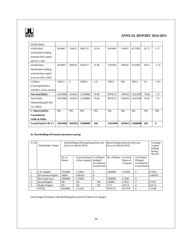

| b) Individuals              |          |          |          |       |          |         |          |       |              |
|-----------------------------|----------|----------|----------|-------|----------|---------|----------|-------|--------------|
| i) Individual               | 3834667  | 156455   | 3991122  | 25.58 | 4016495  | 156455  | 4172950  | 26.75 | 1.17         |
| shareholders holding        |          |          |          |       |          |         |          |       |              |
| nominal share capital       |          |          |          |       |          |         |          |       |              |
| upto Rs. 1 lakh             |          |          |          |       |          |         |          |       |              |
| ii) Individual              | 2916687  | 508530   | 3425217  | 21.96 | 2705962  | 508530  | 3214492  | 20.61 | $-1.35$      |
| shareholders holding        |          |          |          |       |          |         |          |       |              |
| nominal share capital       |          |          |          |       |          |         |          |       |              |
| in excess of Rs 1 lakh      |          |          |          |       |          |         |          |       |              |
| c) Others                   | 329013   | $\Omega$ | 329013   | 2.11  | 78013    | NII.    | 78013    | 0.5   | $-1.61$      |
| (Clearing Members,          |          |          |          |       |          |         |          |       |              |
| All NRI's, Trusts, huf etc) |          |          |          |       |          |         |          |       |              |
| Sub-total $(B)(2)$ :-       | 10234985 | 1945015  | 12180000 | 78.08 | 9078270  | 1945015 | 11023285 | 70.66 | $-7.4$       |
| <b>Total Public</b>         | 10234985 | 1945015  | 12180000 | 78.08 | 9078270  | 1945015 | 11023285 | 70.66 | $-7.4$       |
| Shareholding $(B)=(B)$      |          |          |          |       |          |         |          |       |              |
| $(1)+(B)(2)$                |          |          |          |       |          |         |          |       |              |
| C. Shares held by           | NII.     | NIL      | NII.     | NII.  | NII.     | NII.    | NII.     | NII.  | NII.         |
| <b>Custodian for</b>        |          |          |          |       |          |         |          |       |              |
| <b>GDRs &amp; ADRs</b>      |          |          |          |       |          |         |          |       |              |
| Grand Total $(A+B+C)$       | 13654985 | 1945015  | 15600000 | 100   | 13654985 | 1945015 | 15600000 | 100   | $\mathbf{0}$ |

#### **ii) Shareholding of Promoters/promoters group**

| Sl. Nol          | Shareholder's Name | Shareholding at the beginning of the year<br>[As on 31-March-2014] |                                    |                                                          | Share holding at the end of the year<br>[As on 31-March-2015] | % change<br>in share<br>holding<br>during<br>the year |                                                          |            |
|------------------|--------------------|--------------------------------------------------------------------|------------------------------------|----------------------------------------------------------|---------------------------------------------------------------|-------------------------------------------------------|----------------------------------------------------------|------------|
|                  |                    | No. of<br><b>Shares</b>                                            | % of total share<br>of the company | % of Shares<br>pledged/<br>encumbered<br>to total shares | No. of Shares                                                 | % of total<br>Shares of<br>Company                    | % of Shares<br>Pledged/<br>encumbered<br>to total shares |            |
|                  | S. K. Singhal      | 2350000                                                            | 15.0641                            | 0                                                        | 3404000                                                       | 21.8205                                               | $\theta$                                                 | 6.7564     |
| $\overline{2}$ . | Shiv Kumar Singhal | 10000                                                              | 0.06410                            | 0                                                        |                                                               |                                                       |                                                          | $-0.06410$ |
| 3.               | Shri Gopal Vyas    | 1060000                                                            | 6.79487                            | 0                                                        | 1060000                                                       | 6.7949                                                | $\theta$                                                 |            |
| 4.               | Ayush Singhal      | Nil                                                                | Nil.                               | Nil                                                      | 110000                                                        | 0.7051                                                | $\theta$                                                 | 0.7051     |
| 5.               | Megha Singhal      | Nil                                                                | Nil                                | Nil                                                      | 2715                                                          | 0.0174                                                | $\Omega$                                                 | 0.0174     |
|                  | <b>TOTAL</b>       | 3420000                                                            | 21.9231                            | $\Omega$                                                 | 4576715                                                       | 29.3379                                               | $\theta$                                                 | 7.4148     |

(iii) Change in Promoters'Shareholding (please specify, if there is no change)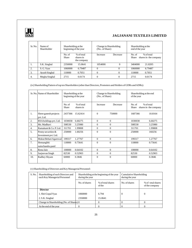

| Sr. No. | Name of<br>Shareholder | Shareholding at the<br>beginning of the year |                                        | Change in Shareholding<br>(No., of Share) |          | Shareholding at the<br>end of the year |                                     |  |
|---------|------------------------|----------------------------------------------|----------------------------------------|-------------------------------------------|----------|----------------------------------------|-------------------------------------|--|
|         |                        | No. of<br>Share                              | % of total<br>shares in<br>the company | Increase                                  | Decrease | No. of<br><b>Share</b>                 | % of total<br>shares in the company |  |
| 1.      | S.K. Singhal           | 2350000                                      | 15.0641                                | 1054000                                   | $\Omega$ | 3404000                                | 21.8205                             |  |
| 2.      | S.G. Vyas              | 1060000                                      | 6.79487                                | $\Omega$                                  | $\Omega$ | 1060000                                | 6.79487                             |  |
| 3.      | Ayush Singhal          | 110000                                       | 0.7051                                 | 0                                         | $\Omega$ | 110000                                 | 0.7051                              |  |
| 4.      | Megha Singhal          | 2715                                         | 0.0174                                 | $\theta$                                  | $\theta$ | 2715                                   | 0.0174                              |  |

(iv) Shareholding Pattern of top ten Shareholders (other than Directors, Promoters and Holders of GDRs and ADRs):

|                  | Sr. No. Name of Shareholder                | Shareholding at the | beginning of the year   | Change in Shareholding<br>(No., of Share) |              | Shareholding at the end<br>of the year |                                     |  |
|------------------|--------------------------------------------|---------------------|-------------------------|-------------------------------------------|--------------|----------------------------------------|-------------------------------------|--|
|                  |                                            | No. of<br>Share     | % of total<br>shares in | Increase                                  | Decrease     | No. of<br>Share                        | % of total<br>shares in the company |  |
| 1.               | Shree ganesh projects<br>pvt. Ltd.         | 2437366             | 15.62414                | $\theta$                                  | 750000       | 1687366                                | 10.8164                             |  |
| $\overline{2}$ . | BSAholdings pvt. Ltd.                      | 1030030             | 6.60275                 | $\Omega$                                  | $\Omega$     | 1030030                                | 6.60275                             |  |
| 3.               | Ms. Madhavi                                | 508530              | 3.25980                 | $\Omega$                                  | $\mathbf{0}$ | 508530                                 | 3.25980                             |  |
| $\overline{4}$ . | Ramakant & Co. P. Ltd.                     | 311701              | 1.99808                 | $\mathbf{0}$                              | $\mathbf{0}$ | 311701                                 | 1.99808                             |  |
| 5.               | Penny securities &<br>Investment pvt. Ltd. | 250000              | 1.60256                 | $\theta$                                  | $\Omega$     | 250000                                 | 160256                              |  |
| 6.               | Mukut Behari Agarewal                      | 199317              | 1.27767                 | $\Omega$                                  | $\Omega$     | 199317                                 | 1.27767                             |  |
| 7.               | Hemangbhi<br>nainchandra patel             | 118000              | 0.75641                 | $\theta$                                  | $\Omega$     | 118000                                 | 0.75641                             |  |
| 8.               | Renu Jain                                  | 100000              | 0.64102                 | $\mathbf{0}$                              | $\mathbf{0}$ | 100000                                 | 0.64102                             |  |
| 9.               | Sarjeevan Singh                            | 82530               | 0.52903                 | $\Omega$                                  | $\Omega$     | 82530                                  | 0.52903                             |  |
| 10.              | Radhey Shyam                               | 60000               | 0.3846                  | $\Omega$                                  | $\Omega$     | 60000                                  | 0.3846                              |  |

(v) Shareholding of Directors and Key Managerial Personnel:

| S.No. | Shareholding of each Directors and<br>each Key Managerial Personnel | Shareholding at the beginning of the year<br>during the year |                             | Cumulative Shareholding<br>during the year |                                     |
|-------|---------------------------------------------------------------------|--------------------------------------------------------------|-----------------------------|--------------------------------------------|-------------------------------------|
|       |                                                                     | No. of shares                                                | % of total shares<br>of the | No. of shares                              | % of total shares<br>of the company |
|       | <b>Director</b>                                                     |                                                              |                             |                                            |                                     |
|       | 1. Shri Gopal Vyas                                                  | 1060000                                                      | 6.794                       | 0                                          | $\Omega$                            |
|       | 2. S.K. Singhal                                                     | 2350000                                                      | 15.0641                     |                                            |                                     |
|       | Change in Shareholding (No. of Shares) 0                            |                                                              |                             |                                            | 0                                   |
|       | At the end of the year                                              |                                                              |                             |                                            |                                     |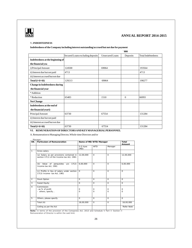

#### V**. INDEBTEDNESS**

**Indebtedness of the Company including interest outstanding/accrued but not due forpayment** 

| ×      |        | . .<br>۰. |  |
|--------|--------|-----------|--|
| $\sim$ | $\sim$ | $\sim$    |  |

|                                      | $\degree$ 000                    |                 |          |                           |  |
|--------------------------------------|----------------------------------|-----------------|----------|---------------------------|--|
|                                      | Secured Loans excluding deposits | Unsecured Loans | Deposits | <b>Total Indebtedness</b> |  |
| Indebtedness at the beginning of     |                                  |                 |          |                           |  |
| the financial yea                    |                                  |                 |          |                           |  |
| i) Principal Amount                  | 124500                           | 69064           |          | 193564                    |  |
| ii) Interest due but not paid        | 4713                             |                 |          | 4713                      |  |
| iii) Interest accrued but not due    |                                  |                 |          |                           |  |
| $Total(i+ii+iii)$                    | 129213                           | 69064           |          | 198277                    |  |
| <b>Change in Indebtedness during</b> |                                  |                 |          |                           |  |
| the financial year                   |                                  |                 |          |                           |  |
| * Addition                           |                                  |                 |          |                           |  |
| * Reduction                          | 65483                            | 1510            | $\theta$ | 66993                     |  |
| <b>Net Change</b>                    |                                  |                 |          |                           |  |
| Indebtedness at the end of           |                                  |                 |          |                           |  |
| the financial yeari)                 |                                  |                 |          |                           |  |
| Principal Amount                     | 63730                            | 67554           |          | 131284                    |  |
| ii) Interest due but not paid        |                                  |                 |          |                           |  |
| iii) Interest accrued but not due    |                                  |                 |          |                           |  |
| $Total(i+ii+iii)$                    | 63730                            | 67554           |          | 131284                    |  |

**VI. REMUNERATION OFDIRECTORS AND KEYMANAGERIALPERSONNEL**

A. Remuneration to Managing Director, Whole-time Directors and/or

| SN.            | Particulars of Remuneration                                                            |                  | Name of MD/WTD/Manager |               |               |  |
|----------------|----------------------------------------------------------------------------------------|------------------|------------------------|---------------|---------------|--|
|                |                                                                                        | S.G Vyas<br>(MD) | <b>WTD</b>             | Manager       |               |  |
| $\mathbf{1}$   | Gross salary                                                                           |                  |                        |               |               |  |
|                | (a) Salary as per provisions contained in<br>section 17(1) of the Income-tax Act, 1961 | 12,00,000        | $\Omega$               | $\Omega$      | 12,00,000     |  |
|                | (b) Value of perquisites u/s 17(2)<br>Income-tax Act, 1961                             | 6,00,000         | $\Omega$               | $\Omega$      | 6,00,000      |  |
|                | (c) Profits in lieu of salary under section<br>17(3) Income- tax Act, 1961             | $\Omega$         | $\Omega$               | $\Omega$      | $\Omega$      |  |
| $\mathfrak{D}$ | <b>Stock Option</b>                                                                    | $\Omega$         | $\Omega$               | $\Omega$      | $\Omega$      |  |
| 3              | Sweat Equity                                                                           | $\Omega$         | $\Omega$               | $\Omega$      | $\Omega$      |  |
| $\overline{4}$ | Commission<br>- as % of profit<br>- others, specify                                    | 0<br>$\Omega$    | $\Omega$<br>$\Omega$   | 0<br>$\Omega$ | 0<br>$\Omega$ |  |
| 5              | Others, please specify                                                                 | $\Omega$         | $\Omega$               | $\Omega$      | $\Omega$      |  |
|                | Total (A)                                                                              | 18,00,000        | $\Omega$               | $\Omega$      | 18,00,000     |  |
|                | Ceiling as per the Act                                                                 |                  |                        |               | 'Refer Note'  |  |

**Note:** In terms of the provision of the Companies Act, 2013 and Schedule V Part II Section II Remuneration of Director is within the said limit.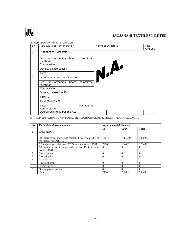

#### *B. Remuneration to other directors:*

| SN.            | Particulars of Remuneration                               | Name of Directors<br>Total |
|----------------|-----------------------------------------------------------|----------------------------|
| $\mathbf{1}$   | <b>Independent Directors</b>                              | Amount                     |
|                | attending<br>board<br>committee<br>for<br>Fee<br>meetings |                            |
|                | Commission                                                |                            |
|                | Others, please specify                                    |                            |
|                | Total (1)                                                 | N.A.                       |
| $\overline{2}$ | Other Non-Executive Directors                             |                            |
|                | committee<br>board<br>Fee for<br>attending<br>meetings    |                            |
|                | Commission                                                |                            |
|                | Others, please specify                                    |                            |
|                | Total $(2)$                                               |                            |
|                | Total $(B) = (1 + 2)$                                     |                            |
|                | Total<br>Managerial<br>Remuneration                       |                            |
|                | Overall Ceiling as per the Act                            |                            |

C. REMUNERATION TO KEYMANAGERIALPERSONNELOTHER THAN MD/MANAGER/WTD

| SN             | <b>Particulars of Remuneration</b>                                                       | <b>Key Managerial Personnel</b> |            |              |  |
|----------------|------------------------------------------------------------------------------------------|---------------------------------|------------|--------------|--|
|                |                                                                                          | CS                              | <b>CFO</b> | <b>Total</b> |  |
| 1              | Gross salary                                                                             |                                 |            |              |  |
|                | (a) Salary as per provisions contained in section $17(1)$ of<br>the Income-tax Act, 1961 | 146400                          | 1,83,600   | 330000       |  |
|                | (b) Value of perquisites $u/s$ 17(2) Income-tax Act, 1961                                | 72000                           | 104400     | 176400       |  |
|                | (c) Profits in lieu of salary under section $17(3)$ Income-                              | $\Omega$                        | $\Omega$   | $\Omega$     |  |
|                | tax Act, 1961                                                                            |                                 |            |              |  |
| 2              | <b>Stock Option</b>                                                                      | $\Omega$                        | $\Omega$   | $\Omega$     |  |
| 3              | <b>Sweat Equity</b>                                                                      | 0                               | $\Omega$   | $\Omega$     |  |
| $\overline{4}$ | Commission                                                                               |                                 |            |              |  |
|                | - as % of profit                                                                         | $\Omega$                        | $\Omega$   | $\Omega$     |  |
|                | others, specify                                                                          | 0                               | $\Omega$   | $\Omega$     |  |
| 5              | Others, please specify                                                                   | $\theta$                        | $\Omega$   | $\Omega$     |  |
|                | Total                                                                                    | 218400                          | 288000     | 506400       |  |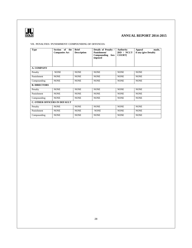

**VII. PENALTIES / PUNISHMENT/ COMPOUNDING OF OFFENCES:**

| <b>Type</b>         | Section of<br>the<br><b>Companies Act</b> | <b>Brief</b><br><b>Description</b> | Details of Penalty /<br>Punishment/<br>Compounding fees<br>imposed | <b>Authority</b><br>[RD / NCLT]<br><b>COURT1</b> | made,<br>Appeal<br>if any (give Details) |  |  |  |
|---------------------|-------------------------------------------|------------------------------------|--------------------------------------------------------------------|--------------------------------------------------|------------------------------------------|--|--|--|
| A. COMPANY          |                                           |                                    |                                                                    |                                                  |                                          |  |  |  |
| Penalty             | <b>NONE</b>                               | <b>NONE</b>                        | <b>NONE</b>                                                        | <b>NONE</b>                                      | <b>NONE</b>                              |  |  |  |
| Punishment          | <b>NONE</b>                               | <b>NONE</b>                        | <b>NONE</b>                                                        | <b>NONE</b>                                      | <b>NONE</b>                              |  |  |  |
| Compounding         | <b>NONE</b>                               | <b>NONE</b>                        | <b>NONE</b>                                                        | <b>NONE</b>                                      | <b>NONE</b>                              |  |  |  |
| <b>B. DIRECTORS</b> |                                           |                                    |                                                                    |                                                  |                                          |  |  |  |
| Penalty             | <b>NONE</b>                               | <b>NONE</b>                        | <b>NONE</b>                                                        | <b>NONE</b>                                      | <b>NONE</b>                              |  |  |  |
| Punishment          | <b>NONE</b>                               | <b>NONE</b>                        | <b>NONE</b>                                                        | <b>NONE</b>                                      | <b>NONE</b>                              |  |  |  |
| Compounding         | <b>NONE</b>                               | <b>NONE</b>                        | <b>NONE</b>                                                        | <b>NONE</b>                                      | <b>NONE</b>                              |  |  |  |
|                     | <b>C. OTHER OFFICERS IN DEFAULT</b>       |                                    |                                                                    |                                                  |                                          |  |  |  |
| Penalty             | <b>NONE</b>                               | <b>NONE</b>                        | <b>NONE</b>                                                        | <b>NONE</b>                                      | <b>NONE</b>                              |  |  |  |
| Punishment          | <b>NONE</b>                               | <b>NONE</b>                        | <b>NONE</b>                                                        | <b>NONE</b>                                      | <b>NONE</b>                              |  |  |  |
| Compounding         | <b>NONE</b>                               | <b>NONE</b>                        | <b>NONE</b>                                                        | <b>NONE</b>                                      | <b>NONE</b>                              |  |  |  |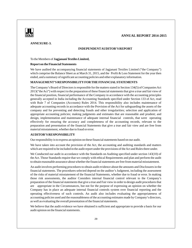

#### **ANNEXURE-3.**

#### **INDEPENDENTAUDITOR'S REPORT**

#### To the Members of **Jagjanani Textiles Limited,**

#### **Report on the Financial Statements**

We have audited the accompanying financial statements of Jagjanani Textiles Limited ("the Company") which comprise the Balance Sheet as at March 31, 2015, and the Profit & Loss Statement for the year then ended, and a summary of significant accounting policies and other explanatory information.

#### **MANAGEMENT'S RESPONSIBILITYFOR THE FINANCIALSTATEMENTS**

The Company's Board of Directors is responsible for the matters stated in Section 134(5) of Companies Act 2013("the Act") with respect to the preparation of these financial statements that give a true and fair view of the financial position, financial performance of the Company in accordance with the accounting principles generally accepted in India including the Accounting Standards specified under Section 133 of Act, read with Rule 7 of Companies (Accounts) Rules 2014. This responsibility also includes maintenance of adequate accounting records in accordance with the Provision of the Act for safeguarding the assets of the company and for preventing and detecting frauds and other irregularities; selection and application of appropriate accounting policies; making judgments and estimates that are reasonable and prudent; and design, implementation and maintenance of adequate internal financial controls, that were operating effectively for ensuring the accuracy and completeness of the accounting records, relevant to the preparation and presentation of the financial Statements that give a true and fair view and are free from material misstatement, whether due to fraud or error.

#### **AUDITOR'S RESPONSIBILITY**

Our responsibility is to express an opinion on these financial statements based on our audit.

We have taken into account the provision of the Act, the accounting and auditing standards and matters which are required to be included in the audit report under the provisions of the Act and Rules there under.

We Conducted our audit in accordance with the Standards on Auditing specified under section 143(10) of the Act. Those Standards require that we comply with ethical Requirements and plan and perform the audit to obtain reasonable assurance about whether the financial statements are free from material misstatement.

An audit involves performing procedures to obtain audit evidence about the amounts and Disclosures in the financial statements. The procedures selected depend on the auditor's Judgment, including the assessment of the risks of material misstatement of the financial Statements, whether due to fraud or error. In making those risk assessments, the auditor Considers internal financial control relevant to the Company's preparation of the financial statements that give a true and Fair view in order to design audit procedures that are appropriate in the Circumstances, but not for the purpose of expressing an opinion on whether the Company has in place an adequate internal financial controls system over financial reporting and the operating effectiveness of such controls. An audit also includes evaluating the appropriateness of accounting policies used and the reasonableness of the accounting estimates made by Company's directors, as well as evaluating the overall presentation of the financial statements.

We believe that the audit evidence we have obtained is sufficient and appropriate to provide a basis for our audit opinion on the financial statements.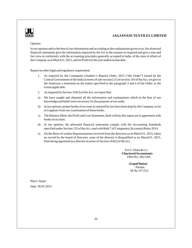

#### Opinion

In our opinion and to the best of our information and according to the explanations given to us, the aforesaid financial statements give the information required by the Act in the manner so required and give a true and fair view in conformity with the accounting principles generally accepted in India, of the state of affairs of the Company as at March31, 2015, and its Profit for the year ended on that date.

Report on other legal and regulatory requirement

- 1. As required by the Companies (Auditor's Report) Order, 2015 ("the Order") issued by the Central Government of the India in terms of sub-section (11) of section 143 of the Act, we give in the Annexure a statement on the matter specified in the paragraph 3 and 4 of the Order, to the extent applicable.
- 2. As required by Section 143(3) of the Act, we report that:
- a) We have sought and obtained all the information and explanations which to the best of our knowledge and belief were necessary for the purposes of our audit;
- b) In our opinion, proper books of account as required by law have been kept by the Company so far as it appears from our examination of those books.
- c) The Balance Sheet, the Profit and Loss Statement, dealt with by this report are in agreement with books of account.
- d) In our opinion, the aforesaid financial statements comply with the Accounting Standards specified under Section 133 of the Act, read with Rule 7 of Companies (Accounts) Rules 2014.
- e) On the Basis of written Representations received from the directors as on March31, 2015, taken on record by the board of directors, none of the director is disqualified as on March31, 2015, from being appointed as a director in terms of Section 164(2) of the Act.

 For G. Dutta & Co. **Chartered Accountants** FRN No.: 002136C

 (**Gopal Dutta) Partner Partner** M.No. 071312

Place: Jaipur Date: 30.05.2015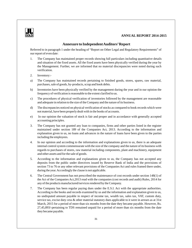

#### **Annexure to Independent Auditors'Report**

Referred to in paragraph 1 under the heading of "Report on Other Legal and Regulatory Requirements" of our report of even date:

- 1. The Company has maintained proper records showing full particulars including quantitative details and situation of the fixed assets. All the fixed assets have been physically verified during the year by the Management. Further, we are informed that no material discrepancies were noted during such verification.
- 2. Inventory:-
- a) The Company has maintained records pertaining to finished goods, stores, spares, raw material, purchases, sale of goods, by-products, scrap and book debts.
- b) Inventories have been physically verified by the management during the year and in our opinion the frequency of verification is reasonable to the extent clarified to us.
- c) The procedures of physical verification of inventories followed by the management are reasonable and adequate in relation to the size of the Company and the nature of its business.
- d) The discrepancies noticed on physical verification of stocks as compared to book records which were not material, have been properly dealt with in the books of accounts.
- e) In our opinion the valuation of stock is fair and proper and in accordance with generally accepted accounting principles.
- 3. The Company has not granted any loan to companies, firms and other parties listed in the register maintained under section 189 of the Companies Act, 2013. According to the information and explanation given to us, no loans and advances in the nature of loans have been given to the parties including the employees.
- 4. In our opinion and according to the information and explanations given to us, there is an adequate internal control system commensurate with the size of the company and the nature of its business with regards to purchases of stores, raw material including components, plant and machinery, equipment and other assets and for the sale of goods.
- 5. According to the information and explanations given to us, the Company has not accepted any deposits from the public under directives issued by Reserve Bank of India and the provisions of section 73 to 76 or any other relevant provisions of the Companies Act and rules framed there under, during the year. Accordingly the clause is not applicable.
- 6. The Central Government has not prescribed the maintenance of cost records under section 148(1) of the Act of the Companies Act,2013 read with the companies (cost records and audit) Rules, 2014 for any of the products manufactured/services rendered by the Company.
- 7. The Company has been regular paying dues under the E.S.I. Act with the appropriate authorities. According to the books and records examined by us and the information and explanation given to us, no undisputed amount payable in respect of income tax, wealth tax, sales tax, VAT, custom duty, service tax, excise duty cess & other material statutory dues applicable to it were in arrears as at 31st March, 2015 for a period of more than six months from the date they became payable. However, Rs. 27,45,893/-pertaining to TDS remained unpaid for a period of more than six months from the date they became payable.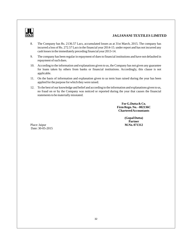

- 8. The Company has Rs. 2136.57 Lacs, accumulated losses as at 31st March, 2015. The company has incurred a loss of Rs. 272.57 Lacs in the financial year 2014-15. under report and has not incurred any cash losses in the immediately preceding financial year 2013-14.
- 9. The company has been regular in repayment of dues to financial institutions and have not defaulted in repayment of such dues.
- 10. According to the information and explanations given to us, the Company has not given any guarantee for loans taken by others from banks or financial institutions. Accordingly, this clause is not applicable.
- 11. On the basis of information and explanation given to us term loan raised during the year has been applied for the purpose for which they were raised.
- 12. To the best of our knowledge and belief and according to the information and explanations given to us, no fraud on or by the Company was noticed or reported during the year that causes the financial statements to be materially misstated.

**ForG.Dutta & Co. Firm Regn. No. - 002136C Chartered Accountants**

> **(Gopal Dutta) Partner**

Place: Jaipur **M.No. 071312** Date: 30-05-2015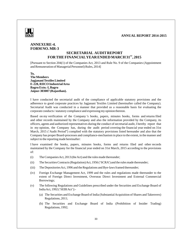

# **ANNEXURE-4. FORM NO. MR-3**

# **SECRETARIAL AUDIT REPORT ST FOR THE FINANCIALYEAR ENDED MARCH 31 , 2015**

[Pursuant to Section 204(1) of the Companies Act, 2013 and Rule No. 9 of the Companies (Appointment and Remuneration of Managerial Personnel) Rules, 2014]

**To, The Members Jagjanani Textiles Limited E-228, RIICO Industrial Area Bagru Extn.-I, Bagru Jaipur-303007 (Rajasthan).**

I have conducted the secretarial audit of the compliance of applicable statutory provisions and the adherence to good corporate practices by Jagjanani Textiles Limited (hereinafter called the Company). Secretarial Audit was conducted in a manner that provided us a reasonable basis for evaluating the corporate conducts / statutory compliance and expressing my opinion thereon.

Based on my verification of the Company 's books, papers, minutes books, forms and returns filed and other records maintained by the Company and also the information provided by the Company, its officers, agents and authorized representatives during the conduct of secretarial audit, I hereby report that in my opinion, the Company has, during the audit period covering the financial year ended on 31st March, 2015 ('Audit Period") complied with the statutory provisions listed hereunder and also that the Company has proper Board-processes and compliance-mechanism in place to the extent, in the manner and subject to the reporting made hereinafter:

I have examined the books, papers, minutes books, forms and returns filed and other records maintained by the Company for the financial year ended on 31st March, 2015 according to the provisions of:

- (i) The Companies Act, 2013 (the Act) and the rules made thereunder;
- (ii) The Securities Contracts (Regulation) Act, 1956 ('SCRA') and the rules made thereunder;
- (iii) The Depositories Act, 1996 and the Regulations and Bye-laws framed thereunder;
- (iv) Foreign Exchange Management Act, 1999 and the rules and regulations made thereunder to the extent of Foreign Direct Investment, Overseas Direct Investment and External Commercial Borrowings;
- (v) The following Regulations and Guidelines prescribed under the Securities and Exchange Board of India Act, 1992 ('SEBI Act'):-
	- (a) The Securities and Exchange Board of India (Substantial Acquisition of Shares and Takeovers) Regulations, 2011;
	- (b) The Securities and Exchange Board of India (Prohibition of Insider Trading) Regulations, 1992;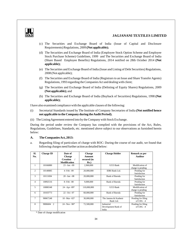

- (c) The Securities and Exchange Board of India (Issue of Capital and Disclosure Requirements) Regulations, 2009 **(Not applicable);**
- (d) The Securities and Exchange Board of India (Employee Stock Option Scheme and Employee Stock Purchase Scheme) Guidelines, 1999 and The Securities and Exchange Board of India (Share Based Employee Benefits) Regulations, 2014 notified on 28th October 2014 **(Not applicable);**
- (e) The Securities and Exchange Board of India (Issue and Listing of Debt Securities) Regulations, 2008 (Not applicable);
- (f) The Securities and Exchange Board of India (Registrars to an Issue and Share Transfer Agents) Regulations, 1993 regarding the Companies Act and dealing with client;
- (g) The Securities and Exchange Board of India (Delisting of Equity Shares) Regulations, 2009 **(Not applicable);** and
- (h) The Securities and Exchange Board of India (Buyback of Securities) Regulations, 1998 **(Not applicable);**

I have also examined compliance with the applicable clauses of the following:

- (i) Secretarial Standards issued by The Institute of Company Secretaries of India **(Not notified hence not applicable to the Company during the Audit Period).**
- (ii) The Listing Agreement entered into by the Company with Stock Exchange.

During the period under review the Company has complied with the provisions of the Act, Rules, Regulations, Guidelines, Standards, etc. mentioned above subject to our observations as furnished herein below:

#### **A. The Companies Act, 2013:**

a. Regarding filing of particulars of charge with ROC: During the course of our audit, we found that following charges need further action as detailed below:

| SI.<br>No.     | <b>Charge ID</b>          | Date of<br><b>Charge</b><br><b>Creation</b><br><b>Modification</b> | <b>Charge</b><br><b>Amount</b><br>secured (in<br>$\mathbf{Rs.}$ | <b>Charge Holder</b>                       | Remark as per<br><b>Auditor</b>      |
|----------------|---------------------------|--------------------------------------------------------------------|-----------------------------------------------------------------|--------------------------------------------|--------------------------------------|
| 1              | 10166880                  | $23 - \text{Jun} - 09$                                             | 2.960,000                                                       | <b>UCO Bank</b>                            | Modification of<br>charge is pending |
| $\overline{c}$ | 10140885                  | $4 - Feb - 09$                                                     | 20,000,000                                                      | <b>IDBI</b> Bank Ltd.                      | Pending for<br>Satisfaction          |
| 3              | 10111694                  | $20 - \text{Jun } -08$                                             | 20,000,000                                                      | Bank of Baroda                             | Pending for<br>Satisfaction          |
| 4              | 10092516                  | $8 - Feb - 08$                                                     | 9,000,000                                                       | Bank of Baroda                             | Pending for<br>Satisfaction          |
| 5              | 10080348                  | $24 - Apr - 09*$                                                   | 110,000,000                                                     | <b>UCO Bank</b>                            | Modification of<br>charge is pending |
| 6              | 10103773                  | $22 - Oct - 07$                                                    | 60,000,000                                                      | Bank of Baroda                             | Pending for<br>Satisfaction          |
| 7              | 90067248                  | $18 - Mar - 02*$                                                   | 30,000,000                                                      | The Jammu & Kashmir<br>Bank Ltd.           | Pending for filing<br>of CHG $-4$    |
| 8              | 9006684<br>$\overline{2}$ | $24 - Nov - 98*$                                                   | 72,500,000                                                      | Industrial<br>Development Bank of<br>India | Pending for filing<br>of CHG $-4$    |

\* Date of charge modification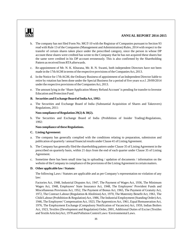

- b. The company has not filed Form No. MGT-10 with the Registrar of Companies pursuant to Section 93 read with Rule 13 of the Companies (Management and Administration) Rules, 2014 with respect to the transfer of certain shares taken place under the prescribed category, since the person in whose DP account these shares were credited has wrote to the Company that he has not acquired these shares but the same were credited in his DP account erroneously. This is also confirmed by the Shareholding Pattern as received from RTA afterwards.
- c. Re-appointment of Mr. N. K. Khurana, Mr. R. N. Swami, both independent Directors have not been made in the 17th AGM in terms of the respective provisions of the Companies Act, 2013.
- d. In the Notice for 17th AGM, the Ordinary Business of appointment of an Independent Director liable to retire by rotation has been done under the Special Business for a period of five years w.e.f. 29/09/2014 under the respective provisions of the Companies Act, 2013.
- e. The amount lying in the 'Share Application Money Refund Account'is pending for transfer to Investor Education and Protection Fund.

#### **B. Securities and Exchange Board of India Act, 1992:**

a. The Securities and Exchange Board of India (Substantial Acquisition of Shares and Takeovers) Regulations, 2011:

#### **Non compliance of Regulation 29(2) & 30(2).**

b. The Securities and Exchange Board of India (Prohibition of Insider Trading) Regulations, 1992:

#### **Non compliance of these Regulations.**

#### **C. Listing Agreement:**

- a. The company has generally complied with the conditions relating to preparation, submission and publication of quarterly / annual financial results under Clause 41 of Listing Agreement.
- b. The Company has generally filed the shareholding pattern under Clause 35 of Listing Agreement in the prescribed on quarterly basis, within 21 days from the end of each quarter under Clause 35 of Listing Agreement.
- c. Sometime there has been small time lag in uploading / updation of documents / information on the website of the Company in compliance of the provisions of the Listing Agreement in certain matters.

#### **D. Other applicable law / Statute:**

The following Laws / Statutes are applicable and as per Company's representation no violation of any law:

Factories Act, 1948, Industrial Disputes Act, 1947, The Payment of Wages Act, 1936, The Minimum Wages Act, 1948, Employees' State Insurance Act, 1948, The Employees' Provident Funds and Miscellaneous Provisions Act, 1952, The Payment of Bonus Act, 1965, The Payment of Gratuity Act, 1972, The Contract Labour (Regulation & Abolition) Act, 1970, The Maternity Benefit Act, 1961, The Child Labour (Prohibition & Regulation) Act, 1986, The Industrial Employment (Standing Order) Act, 1946, The Employees'Compensation Act, 1923, The Apprentices Act, 1961, Equal Remuneration Act, 1976, The Employment Exchange (Compulsory Notification of Vacancies) Act, 1959, Indian Boilers Act, 1923, Textiles (Development and Regulation) Order, 2001, Additional Duties of Excise (Textiles and Textile Articles) Act, 1978 and Pollution Control Laws / Environmental Laws.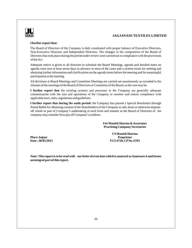

#### **I further report that:**

The Board of Directors of the Company is duly constituted with proper balance of Executive Directors, Non-Executive Directors and Independent Directors. The changes in the composition of the Board of Directors that took place during the period under review were carried out in compliance with the provisions of the Act.

Adequate notice is given to all directors to schedule the Board Meetings, agenda and detailed notes on agenda were sent at least seven days in advance in most of the cases and a system exists for seeking and obtaining further information and clarifications on the agenda items before the meeting and for meaningful participation at the meeting.

All decisions at Board Meetings and Committee Meetings are carried out unanimously as recorded in the minutes of the meetings of the Board of Directors or Committee of the Board, as the case may be.

**I further report that** the existing systems and processes in the Company are generally adequate commensurate with the size and operations of the Company to monitor and ensure compliance with applicable laws, rules, regulations and guidelines.

**I further report that during the audit period:** the Company has passed a Special Resolution through Postal Ballot for obtaining consent of the Shareholders of the Company to sale, lease or otherwise disposeoff whole or part of Company's undertaking in such form and manner as the Board of Directors of the company may consider fit to pay off Company's creditors.

> **ForManish Sharma & Associates Practising Company Secretaries**

**CS Manish Sharma Place:Jaipur Proprietor Date : 30/05/2015 FCS 4750, CPNo. 6703**

**Note: This report is to be read with our letter of even date which is annexed as Annexure Aand forms an integral part of this report.**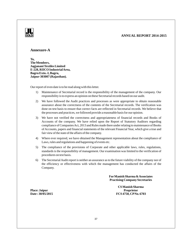

## **Annexure-A**

**To, The Members, Jagjanani Textiles Limited E-228, RIICO Industrial Area, Bagru Extn.-I, Bagru, Jaipur-303007 (Rajasthan).**

Our report of even date is to be read along with this letter.

- 1) Maintenance of Secretarial record is the responsibility of the management of the company. Our responsibility is to express an opinion on these Secretarial records based on our audit.
- 2) We have followed the Audit practices and processes as were appropriate to obtain reasonable assurance about the correctness of the contents of the Secretarial records. The verification was done on test basis to ensure that correct facts are reflected in Secretarial records. We believe that the processes and practices, we followed provide a reasonable basis for our opinion.
- 3) We have not verified the correctness and appropriateness of financial records and Books of Accounts of the company. We have relied upon the Report of Statutory Auditors regarding compliance of Companies Act, 2013 and Rules made there under relating to maintenance of Books of Accounts, papers and financial statements of the relevant Financial Year, which give a true and fair view of the state of the affairs of the company.
- 4) Where ever required, we have obtained the Management representation about the compliance of Laws, rules and regulations and happening of events etc.
- 5) The compliance of the provisions of Corporate and other applicable laws, rules, regulations, standards is the responsibility of management. Our examination was limited to the verification of procedures on test basis.
- 6) The Secretarial Audit report is neither an assurance as to the future viability of the company nor of the efficiency or effectiveness with which the management has conducted the affairs of the Company.

**ForManish Sharma & Associates Practising Company Secretaries**

**CS Manish Sharma Place: Jaipur Proprietor Date : 30/05/2015 FCS 4750, CPNo. 6703**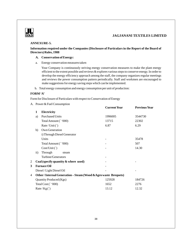

#### **ANNEXURE-5.**

**Information required under the Companies (Disclosure of Particulars in the Report of the Board of Directors) Rules, 1988**

#### **A. Conservation of Energy:**

a. Energy conservation measures taken

Your Company is continuously striving energy conservation measures to make the plant energy efficient to the extent possible and reviews & explores various steps to conserve energy. In order to develop the energy efficiency approach among the staff, the company organizes regular meetings and reviews the power consumption pattern periodically. Staff and workmen are encouraged to make suggestions for energy saving steps which can be implemented.

b. Total energy consumption and energy consumption per unit of production:

#### **FORM 'A'**

Form for Disclosure of Particulars with respect to Conservation of Energy

|   |           | A. Power & Fuel Consumption                                               |                     |                      |
|---|-----------|---------------------------------------------------------------------------|---------------------|----------------------|
|   |           |                                                                           | <b>Current Year</b> | <b>Previous Year</b> |
|   | 1         | <b>Electricity</b>                                                        |                     |                      |
|   | a)        | <b>Purchased Units</b>                                                    | 1996005             | 3544730              |
|   |           | Total Amount (` '000)                                                     | 13715               | 22302                |
|   |           | Rate/Unit()                                                               | 6.87                | 6.29                 |
|   | b)        | Own Generation                                                            |                     |                      |
|   |           | i) Through Diesel Generator                                               |                     |                      |
|   |           | Units                                                                     |                     | 35478                |
|   |           | Total Amount (`'000)                                                      |                     | 507                  |
|   |           | Cost/Unit(                                                                |                     | 14.30                |
|   | $\rm ii)$ | Through<br>steam                                                          |                     |                      |
|   |           | Turbine/Generators                                                        |                     |                      |
| 2 |           | Coal (specify quantity & where used)                                      |                     |                      |
| 3 |           | <b>Furnace Oil</b>                                                        |                     |                      |
|   |           | Diesel / Light Diesel Oil                                                 |                     |                      |
| 4 |           | <b>Other/Internal Generation – Steam (Wood &amp; Agro waste Brequets)</b> |                     |                      |
|   |           | Quantity Produced (Kgs)                                                   | 125928              | 184726               |
|   |           | Total Cost $($ '000)                                                      | 1652                | 2276                 |
|   |           | Rate/Kg()                                                                 | 13.12               | 12.32                |
|   |           |                                                                           |                     |                      |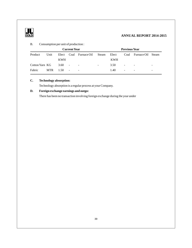

#### B. Consumption per unit of production :

| <b>Current Year</b> |            |            |                          |                          |                          | <b>Previous Year</b> |        |                          |                          |
|---------------------|------------|------------|--------------------------|--------------------------|--------------------------|----------------------|--------|--------------------------|--------------------------|
| Product             | Unit       |            |                          | Elect Coal Furnace Oil   | Steam                    | Elect                |        | Coal Furnace Oil Steam   |                          |
|                     |            | <b>KWH</b> |                          |                          |                          | <b>KWH</b>           |        |                          |                          |
| Cotton Yarn KG      |            | 3.60       | $\sim$                   | $\overline{\phantom{a}}$ | $\overline{\phantom{a}}$ | 3.50                 | $\sim$ | $\overline{\phantom{a}}$ | $\overline{\phantom{0}}$ |
| Fabric              | <b>MTR</b> | 1.50       | $\overline{\phantom{a}}$ | $\overline{\phantom{a}}$ |                          | 1.40                 | $\sim$ | $\overline{\phantom{a}}$ | $\overline{\phantom{0}}$ |

# **C. Technology absorption:**

Technology absorption is a regular process at your Company.

### **D. Foreign exchange earnings and outgo:**

There has been no transaction involving foreign exchange during the year under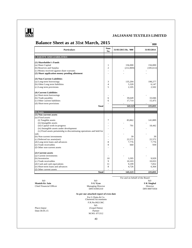

# **Balance Sheet as at 31st March, 2015**

| Dalance Sheet as at 51st March, 2015                                  | 000                |                     |            |
|-----------------------------------------------------------------------|--------------------|---------------------|------------|
| <b>Particulars</b>                                                    | <b>Note</b><br>No. | 31/03/2015 Rs. '000 | 31/03/2014 |
| <b>I. EQUITY AND LIABILITIES</b>                                      |                    |                     |            |
| (1) Shareholder's Funds                                               |                    |                     |            |
| (a) Share Capital                                                     | $\mathbf{1}$       | 156,000             | 156,000    |
| (b) Reserves and Surplus                                              | $\overline{c}$     | (212, 869)          |            |
| (c) Money received against share warrants                             |                    |                     | (185, 612) |
| (2) Share application money pending allotment                         |                    |                     |            |
|                                                                       |                    |                     |            |
| (3) Non-Current Liabilities                                           |                    |                     |            |
| (a) Long-term borrowings                                              | 3                  | 135,204             | 198,277    |
| (b) Other Long term liabilities                                       | 4                  | 5,320               | 6,147      |
| (c) Long term provisions                                              | 5                  | 2,105               | 2,502      |
| (4) Current Liabilities                                               |                    |                     |            |
|                                                                       |                    |                     |            |
| (a) Short-term borrowings<br>(b) Trade payables                       | 6                  | 39,649              | 33,046     |
| (c) Other current liabilities                                         | 6                  | 17,714              | 15,475     |
| (d) Short-term provisions                                             |                    |                     |            |
| <b>Total</b>                                                          |                    | 143.123             | 225,835    |
|                                                                       |                    |                     |            |
| <b>II.Assets</b>                                                      |                    |                     |            |
| (1) Non-current assets                                                |                    |                     |            |
| (a) Fixed assets                                                      |                    |                     |            |
| (i) Tangible assets                                                   | $\overline{7}$     | 83.862              | 141,889    |
| (ii) Intangible assets                                                |                    |                     |            |
| (iii) Capital work-in-progress                                        |                    | 791                 | 18,442     |
| (iv) Intangible assets under development                              |                    |                     |            |
| (v) Fixed assets pertaininhg to discontinuing operations and held for |                    |                     |            |
| sale.                                                                 |                    |                     |            |
| (b) Non-current investments                                           | ٠                  | 39                  | 39         |
| (c) Deferred tax assets(net)                                          |                    | 22,572              | 22,572     |
| (d) Long term loans and advances                                      | 8                  | 7,776               | 7,776      |
| (e) Trade receivables                                                 | 9                  | 660                 | 939        |
| (f) Other non-current assets                                          |                    |                     |            |
| (2) Current assets                                                    |                    |                     |            |
| (a) Current investments                                               |                    |                     |            |
| (b) Inventories                                                       | 10                 | 3,395               | 9.929      |
| (c) Trade receivables                                                 | 9                  | 10,103              | 10,033     |
| (d) Cash and cash equivalents                                         | 11                 | 9,199               | 7,852      |
| (e) Short-term loans and advances                                     | 8                  | 4,726               | 6,364      |
| (f) Other current assets                                              |                    |                     |            |
| <b>Total</b>                                                          |                    | 143,123             | 225,835    |

For and on behalf of the Board

l

 $Sd$ <sup>-</sup> **S K** Singhal  $Sd$   $\sim$   $Sd$   $\sim$   $Sd$   $\sim$ 

**Director**<br>**DIN 00075934** 

 **As per our attached report of even date**

Managing Director<br>DIN 01905310

**Manish Kr Jain** S G Vyas

 For G Dutta & Co. Chartered Accountants F.R.No.002136C  $Sd$ <sup>-</sup> (Gopal Dutta)<br>Partner M.NO. 071312

Place:Jaipur<br>Date:30.05.15

Chief Financial Officer

40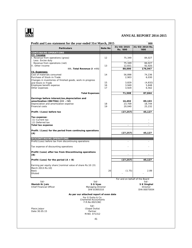

| Profit and Loss statement for the year ended 31st March, 2015                                                  |         | 31/03/2015      | 000<br>31/03/2014 Rs.          |
|----------------------------------------------------------------------------------------------------------------|---------|-----------------|--------------------------------|
| Particulars                                                                                                    | Note No | Rs. '000        | LOU.                           |
| CONTINUING OPERATIONS                                                                                          |         |                 |                                |
| III. Income<br>I. Revenue from operations (gross)<br>Less: Excise duty                                         | 12      | 75,349          | 84,027                         |
| Revenue from operations (net)                                                                                  |         | 75,349          | 84,027                         |
| II. Other Income                                                                                               | 13      | 12,651          | 92,920                         |
| III. Total Revenue (I +II)                                                                                     |         | 88,000          | 176,947                        |
| <b>IV.</b> Expenses:<br>Cost of materials consumed<br>Purchase of Stock-in-Trade                               | 14      | 56,898<br>2,903 | 74.236<br>6,030                |
| Changes in inventories of finished goods, work-in-progress                                                     |         |                 |                                |
| and Stock-in-Trade                                                                                             | 15      | 3,829           | (4,832)                        |
| Employee benefit expense                                                                                       | 16      | 3,949           | 5,848                          |
| Other expenses                                                                                                 | 17      | 3,929           | 6,562                          |
| <b>Total Expenses</b>                                                                                          |         | 71,508          | 87,844                         |
| Earnings before interest, tax, depreciation and                                                                |         |                 |                                |
| amortization (EBITDA) (III - IV)                                                                               |         | 16,492          | 89,103                         |
| Depreciation and amortization expense                                                                          | 18      | 23,709          | 18,744                         |
| Financial costs                                                                                                | 19      | 20,040          | 25,232                         |
| Profit / (Loss) before tax                                                                                     |         | (27, 257)       | 45,127                         |
|                                                                                                                |         |                 |                                |
| Tax expense:<br>(1) Current tax                                                                                |         |                 |                                |
| (2) Deferred tax                                                                                               |         |                 |                                |
| Total tax expense                                                                                              |         |                 |                                |
|                                                                                                                |         |                 |                                |
| Profit / (Loss) for the period from continuing operations                                                      |         | (27, 257)       | 45,127                         |
| (A)                                                                                                            |         |                 |                                |
| DI SCONTI NUI NG OPERATIONS                                                                                    |         |                 |                                |
| Profit/(Loss) before tax from discontinuing operations                                                         |         |                 |                                |
| Tax expense of discounting operations                                                                          |         |                 |                                |
| Profit/(Loss) after tax from Discontinuing operations<br>(B)                                                   |         |                 |                                |
|                                                                                                                |         |                 |                                |
| Profit/(Loss) for the period $(A + B)$                                                                         |         | (27, 257)       | 45,127                         |
| Earning per equity share [nominal value of share Rs.10 (31<br>March 2013: Rs. 10]                              |         |                 |                                |
| <b>Basic</b>                                                                                                   | 20      | (1.75)          | 2.89                           |
| Diluted                                                                                                        |         |                 |                                |
|                                                                                                                |         |                 | For and on behalf of the Board |
| $Sd/-$<br>$Sd$ /-                                                                                              |         |                 | SQ/-                           |
| Manish Kr Jain<br>S G Vyas                                                                                     |         |                 | S K Singhal                    |
| Chief Financial Officer<br>Managing Director<br>DIN 01905310                                                   |         |                 | Director<br>DIN 00075934       |
|                                                                                                                |         |                 |                                |
| As per our attached report of even date<br>For G Dutta & Co.<br><b>Chartered Accountants</b><br>F.R.No.002136C |         |                 |                                |
| $Sd$ /-                                                                                                        |         |                 |                                |
| (Gopal Dutta)<br>Place: Jaipur<br>Date: 30.05.15<br>Partner                                                    |         |                 |                                |
| M.NO. 071312                                                                                                   |         |                 |                                |
| 41                                                                                                             |         |                 |                                |
|                                                                                                                |         |                 |                                |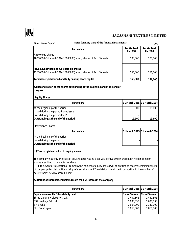

|                                                                                                                                                                                                                                                                                                                                                                                                                                              | Notes forming part of the financial statements<br><b>Note 1 Share Capital</b> |                                         |  |  |  |  |  |
|----------------------------------------------------------------------------------------------------------------------------------------------------------------------------------------------------------------------------------------------------------------------------------------------------------------------------------------------------------------------------------------------------------------------------------------------|-------------------------------------------------------------------------------|-----------------------------------------|--|--|--|--|--|
| Particulars                                                                                                                                                                                                                                                                                                                                                                                                                                  | 31/03/2015<br>Rs. '000                                                        | 31/03/2014<br>Rs. '000                  |  |  |  |  |  |
| Authorised shares<br>18000000 (31 March 2014:18000000) equity shares of Rs. 10/- each                                                                                                                                                                                                                                                                                                                                                        | 180,000                                                                       | 180,000                                 |  |  |  |  |  |
| Issued, subscribed and fully paid-up shares<br>15600000 (31 March 2014:15600000) equity shares of Rs. 10/- each                                                                                                                                                                                                                                                                                                                              | 156,000                                                                       | 156,000                                 |  |  |  |  |  |
| Total issued, subscribed and fully paid-up share capital                                                                                                                                                                                                                                                                                                                                                                                     | 156,000                                                                       | 156,000                                 |  |  |  |  |  |
| a.) Reconciliation of the shares outstanding at the beginning and at the end of<br>the year                                                                                                                                                                                                                                                                                                                                                  |                                                                               |                                         |  |  |  |  |  |
| <b>Equity Shares</b>                                                                                                                                                                                                                                                                                                                                                                                                                         |                                                                               |                                         |  |  |  |  |  |
| Particulars                                                                                                                                                                                                                                                                                                                                                                                                                                  | 31 March 2015 31 March 2014                                                   |                                         |  |  |  |  |  |
| At the beginning of the period<br>Issued during the period-Bonus issue<br>Issued during the period-ESOP                                                                                                                                                                                                                                                                                                                                      | 15,600                                                                        | 15,600                                  |  |  |  |  |  |
| Outstanding at the end of the period<br>Preference Shares                                                                                                                                                                                                                                                                                                                                                                                    | 15,600                                                                        | 15,600                                  |  |  |  |  |  |
| Particulars                                                                                                                                                                                                                                                                                                                                                                                                                                  | 31 March 2015                                                                 | 31 March 2014                           |  |  |  |  |  |
| At the beginning of the period<br>Issued during the period<br>Outstanding at the end of the period                                                                                                                                                                                                                                                                                                                                           |                                                                               |                                         |  |  |  |  |  |
| b.) Terms/rights attached to equity shares                                                                                                                                                                                                                                                                                                                                                                                                   |                                                                               |                                         |  |  |  |  |  |
| The company has only one class of equity shares having a par value of Rs. 10 per share.Each holder of equity<br>shares is entitled to one vote per share.<br>In the event of liquidation of company, the holders of equity shares will be entitled to receive remaining assets<br>of company, after distribution of all preferential amount. The distribution will be in proportion to the number of<br>equity shares held by share holders. |                                                                               |                                         |  |  |  |  |  |
| c.) Details of shareholders holding more than 5% shares in the company                                                                                                                                                                                                                                                                                                                                                                       |                                                                               |                                         |  |  |  |  |  |
| Particulars                                                                                                                                                                                                                                                                                                                                                                                                                                  | 31 March 2015                                                                 | 31 March 2014                           |  |  |  |  |  |
| Equity shares of Rs. 10 each fully paid<br>Shree Ganesh Projects Pvt. Ltd.<br>BSA Holdings Pvt. Ltd.                                                                                                                                                                                                                                                                                                                                         | No. of Shares<br>2,437,366<br>1,030,030                                       | No. of Shares<br>2,437,366<br>1,030,030 |  |  |  |  |  |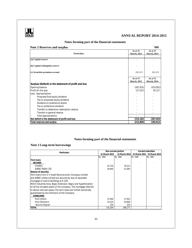

#### **Notes forming part of the financial statements**

#### **As at 31 March, 2015 As at 31 March, 2014** - - - - 102,313 102,313 **As at 31 March, 2015 As at 31 March, 2014 Surplus/(Defecit) in the statement of profit and loss** Opening balance (287,925) (333,052) Profit for the year (27,257) 45,127 Less: Appropriations Proposed final equity dividend Tax on proposed equity dividend Dividend on preference shares Tax on preference dividend  $\overline{\phantom{a}}$  -  $\overline{\phantom{a}}$  -  $\overline{\phantom{a}}$  -  $\overline{\phantom{a}}$  -  $\overline{\phantom{a}}$  -  $\overline{\phantom{a}}$  -  $\overline{\phantom{a}}$ Transfer to debenture redemption reserve  $\blacksquare$ Transfer to general reserve Total appropriations **Net deficit in the statement of profit and loss (315,182) (287,925) Total reserves and surplus (212,869) (185,612) (b) Capital redemption reserve (c) Securities premium account Note 2 Reserves and surplus Particulars (a) Capital reserve** `**000**

#### **Notes forming part of the financial statements**

#### **Note 3 Long-term borrowings**

| <b>Particulars</b>                                              | Non-current portion            |          | <b>Current maturities</b> |                             |  |
|-----------------------------------------------------------------|--------------------------------|----------|---------------------------|-----------------------------|--|
|                                                                 | 31 March 2015<br>31 March 2014 |          |                           | 31 March 2015 31 March 2014 |  |
|                                                                 | Rs. '000                       | Rs. '000 | Rs. '000                  | Rs. '000                    |  |
| Term loans                                                      |                                |          |                           |                             |  |
| <b>SECURED</b>                                                  |                                |          |                           |                             |  |
| <b>UVARCL</b>                                                   | 35,730                         | 78,213   |                           |                             |  |
| ASREC INDIA LTD.                                                | 28,000                         | 51,000   |                           |                             |  |
| Nature of security:                                             |                                |          |                           |                             |  |
| Term Ioans from U V Asset Reconsruction Company Limited         |                                |          |                           |                             |  |
| and ASREC (India) Limited are secured by way of equitable       |                                |          |                           |                             |  |
| mortgage of Land & Buildings at E-228                           |                                |          |                           |                             |  |
| RIICO Industrial Area, Bagru Extension, Bagru and hypothecation |                                |          |                           |                             |  |
| of all the movable assets of the Company. The mortgage referred |                                |          |                           |                             |  |
| to above rank pari-passu. The term loans are further personally |                                |          |                           |                             |  |
| quaranteed by two Directors of the Company.                     |                                |          |                           |                             |  |
| <b>UNSECURED</b>                                                |                                |          |                           |                             |  |
| from others                                                     | 37,900                         | 37.910   |                           |                             |  |
| from Directors                                                  | 33,320                         | 30,900   |                           |                             |  |
| Security Deposit                                                | 254                            | 254      |                           |                             |  |
| <b>TOTAL</b>                                                    | 135,204                        | 198,277  |                           |                             |  |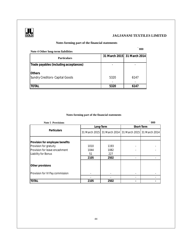

## **Notes forming part of the financial statements**

`**000**

#### **Note 4 Other long-term liabilities**

| <b>Particulars</b>                     |      | 31 March 2015 31 March 2014 |
|----------------------------------------|------|-----------------------------|
| Trade payables (including acceptances) |      |                             |
| <b>Others</b>                          |      |                             |
| Sundry Creditors- Capital Goods        | 5320 | 6147                        |
|                                        |      |                             |
| total                                  | 5320 | 6147                        |

#### **Notes forming part of the financial statements**

| <b>Note 5 Provisions</b>        |      |                                                         |            | 000 |  |
|---------------------------------|------|---------------------------------------------------------|------------|-----|--|
|                                 |      | Long-Term                                               | Short-Term |     |  |
| <b>Particulars</b>              |      | 31 March 2015 31 March 2014 31 March 2015 31 March 2014 |            |     |  |
| Provision for employee benefits |      |                                                         |            |     |  |
| Provision for gratuity          | 1010 | 1193                                                    |            |     |  |
| Provision for leave encashment  | 1044 | 1082                                                    |            |     |  |
| Liability for Bonus             | 51   | 227                                                     |            |     |  |
|                                 | 2105 | 2502                                                    |            |     |  |
| Other provisions                |      |                                                         |            |     |  |
| Provision for VI Pay commission |      |                                                         |            |     |  |
|                                 |      |                                                         |            |     |  |
| <b>TOTAL</b>                    | 2105 | 2502                                                    |            |     |  |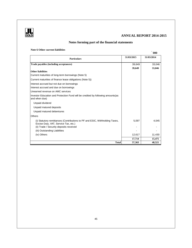

**17,714** 

**Total 57,363**

**15,475**

**48,521**

#### **Notes forming part of the financial statements**

#### **Note 6 Other current liabilities**

**Trade payables (including acceptances)** 39,649 33,046 **39,649 33,046 Other liabilities** Current maturities of long-term borrowings (Note 5) Current maturities of finance lease obligations (Note 5)) Interest accrued but not due on borrowings Interest accrued and due on borrowings Unearned revenue on AMC services Investor Education and Protection Fund will be credited by following amounts(as and when due) Unpaid dividend Unpaid matured deposits Unpaid matured debentures **Others** (i) Statutory remittances (Contributions to PF and ESIC, Withholding Taxes, Excise Duty, VAT, Service Tax, etc.) 5,097 4,045 (ii) Trade / Security deposits received  $\blacksquare$ - (iii) Outstanding Liabilities **and Containers** and Containers and Containers and Containers and Containers and Containers and Containers and Containers and Containers and Containers and Containers and Containers and Contai - (iv) Others 11,430  **Particulars 31/03/2015 31/03/2014**  `**000**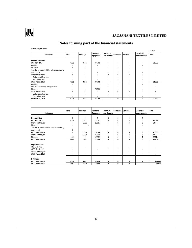

# **Notes forming part of the financial statements**

#### **Note 7 Tangible assets**

| $110W + 1000$                                  |          |                  |                        |                           |          |                          |                           | Rs. '000 |
|------------------------------------------------|----------|------------------|------------------------|---------------------------|----------|--------------------------|---------------------------|----------|
| <b>Particulars</b>                             | Land     | <b>Buildings</b> | Plant and<br>Equipment | Furniture<br>and fixtures | Computer | Vehicles                 | Leasehold<br>improvements | Total    |
|                                                |          |                  |                        |                           |          |                          |                           |          |
| Cost or Valuation                              |          |                  |                        |                           |          |                          |                           |          |
| At 1 April 2013                                | 6229     | 82611            | 336385                 | ٠                         |          |                          |                           | 425225   |
| Additions                                      |          |                  |                        |                           |          |                          |                           |          |
| Disposals                                      | $\Omega$ | U                |                        |                           |          |                          |                           |          |
| Transfer to assets held for sale(discontinuing |          |                  |                        |                           |          |                          |                           |          |
| operations)                                    |          |                  |                        |                           |          |                          |                           |          |
| Other adjustments                              | $\Omega$ | 0                | 0                      | $\mathbf 0$               | 0        | $\Omega$                 | 0                         |          |
| Exchange differences                           |          |                  |                        |                           |          |                          |                           |          |
| Borrowing costs                                |          |                  |                        | ٠                         | ۰        | ٠                        |                           |          |
| At 31 March 2014                               | 6229     | 82611            | 336385                 | ٠                         | ٠        | $\overline{a}$           | $\overline{\phantom{a}}$  | 425225   |
| <b>Additions</b>                               |          |                  |                        | ٠                         |          |                          |                           |          |
| Acquisitions through amalgamation              |          |                  |                        |                           |          |                          |                           |          |
| Disposals                                      |          |                  | 94085                  |                           |          |                          |                           |          |
| Other adjustments                              | $\Omega$ | U                | $\Omega$               | $\Omega$                  | 0        | $\Omega$                 | $\Omega$                  |          |
| Exchange differences                           |          |                  |                        |                           |          |                          |                           |          |
| Borrowing costs                                |          |                  |                        |                           |          |                          |                           |          |
| At March 31, 2015                              | 6229     | 82611            | 242300                 | $\overline{\phantom{a}}$  | 0        | $\overline{\phantom{a}}$ | $\overline{\phantom{a}}$  | 331140   |

| Particulars                                    | Land     | <b>Buildings</b> | Plant and<br>Equipment | Furniture<br>and fixtures | Computer | Vehicles                 | Leasehold<br><i>improvements</i> | Total    |
|------------------------------------------------|----------|------------------|------------------------|---------------------------|----------|--------------------------|----------------------------------|----------|
|                                                |          |                  |                        |                           |          |                          |                                  |          |
| Depreciation                                   | $\Omega$ | $\Omega$         | $\Omega$               | $\mathbf 0$               | 0        | $\mathbf 0$              | 0                                |          |
| At 1 April 2013                                | 6229     | 19311            | 245281                 | 0                         | 0        | $\mathbf 0$              | 0                                | 264592   |
| Charge for the year                            |          | 2759             | 15985                  |                           | 0        | 0                        | 0                                | 18744    |
| Disposals                                      |          |                  |                        |                           |          |                          |                                  |          |
| Transfer to assets held for sale(discontinuing |          |                  |                        |                           |          |                          |                                  |          |
| operations)                                    | 0        |                  |                        | ٠                         | ٠        | $\overline{\phantom{a}}$ |                                  |          |
| At 31 March 2014                               | ٠        | 22070            | 261266                 | $\Omega$                  | $\Omega$ | $\Omega$                 | $\mathbf 0$                      | 283336   |
| Charge for the year                            |          | 3891             | 19818                  | ٠                         | 0        | $\Omega$                 | 0                                | 23709    |
| <b>Disposals</b>                               | $-1337$  | $\Omega$         | $-61104$               | 0                         | 0        | $\mathbf 0$              | 0                                | $-62441$ |
| At 31 March 2015                               | 4892     | 25961            | 219980                 | $\mathbf 0$               | 0        | $\mathbf 0$              | $\mathbf 0$                      | 244604   |
|                                                |          |                  |                        |                           |          |                          |                                  |          |
| Impairment loss                                |          |                  |                        |                           |          |                          |                                  |          |
| At 1 April 2012                                |          |                  |                        |                           |          |                          |                                  |          |
| At 31 March 2013                               |          |                  |                        | ٠                         |          |                          |                                  |          |
| Charge for the year                            |          |                  |                        |                           |          | ٠                        |                                  |          |
| At 31 March 2014                               |          |                  | ٠                      | $\overline{\phantom{a}}$  | ٠        | ٠                        |                                  |          |
| Net Block                                      |          |                  |                        |                           |          |                          |                                  |          |
|                                                |          |                  |                        |                           |          |                          |                                  |          |
| At 31 March 2014                               | 6229     | 60541            | 75119                  | $\mathbf 0$               | 0        | $\mathbf 0$              | ٠                                | 141889   |
| At 31 March 2015                               | 4892     | 56650            | 22320                  | $\mathbf 0$               | 0        | $\mathbf 0$              |                                  | 83862    |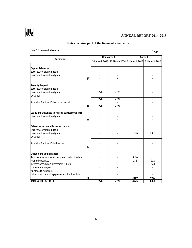

# **Notes forming part of the financial statements**

### **Note 8 Loans and advances**

`**000**

| Particulars                                                                                                                                                                                                                                |     | Non-current  |                                           | Current      |                    |  |
|--------------------------------------------------------------------------------------------------------------------------------------------------------------------------------------------------------------------------------------------|-----|--------------|-------------------------------------------|--------------|--------------------|--|
|                                                                                                                                                                                                                                            |     |              | 31 March 2015 31 March 2014 31 March 2015 |              | 31 March 2014      |  |
| Capital Advances<br>Secured, considered good<br>Unsecured, considered good                                                                                                                                                                 | (A) |              |                                           |              |                    |  |
| <b>Security Deposit</b><br>Secured, considered good<br>Unsecured, considered good<br>Doubtful                                                                                                                                              |     | 7776         | 7776                                      |              |                    |  |
| Provision for doubtful security deposit                                                                                                                                                                                                    | (B) | 7776<br>7776 | 7776<br>7776                              |              |                    |  |
| Loans and advances to related parties[note 37(B)]<br>Unsecured, considered good                                                                                                                                                            | (C) |              |                                           |              |                    |  |
| Advances recoverable in cash or kind<br>Secured, considered good<br>Unsecured, considered good<br>Doubtful                                                                                                                                 |     |              |                                           | 1076         | 2337               |  |
| Provision for doubtful advances                                                                                                                                                                                                            | (D) |              |                                           |              |                    |  |
| Other loans and advances<br>Advance income-tax (net of provision for taxation)<br>Prepaid expenses<br>Interest accrued on investment & FD's<br>Loans to employees<br>Advance to suppliers<br>Balance with statutory/government authorities |     |              |                                           | 3514<br>136  | 3187<br>212<br>628 |  |
| Total $(A + B + C + D + E)$                                                                                                                                                                                                                | (E) | 7776         | 7776                                      | 3650<br>4726 | 4027<br>6364       |  |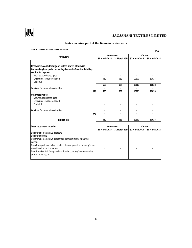

# **Notes forming part of the financial statements**

#### **Note 9 Trade receivables and Other assets**

|                                                                                                                        |               |               |               | 000           |  |
|------------------------------------------------------------------------------------------------------------------------|---------------|---------------|---------------|---------------|--|
| <b>Particulars</b>                                                                                                     |               | Non-current   | Current       |               |  |
|                                                                                                                        | 31 March 2015 | 31 March 2014 | 31 March 2015 | 31 March 2014 |  |
| Unsecured, considered good unless stated otherwise<br>Outstanding for a period exceeding six months from the date they |               |               |               |               |  |
| are due for payment<br>Secured, considered good                                                                        |               |               |               |               |  |
| Unsecured, considered good<br>Doubtful                                                                                 | 660           | 939           | 10103         | 10033         |  |
|                                                                                                                        | 660           | 939           | 10103         | 10033         |  |
| Provision for doubtful receivables                                                                                     |               |               |               |               |  |
| (A)                                                                                                                    | 660           | 939           | 10103         | 10033         |  |
| Other receivables                                                                                                      |               |               |               |               |  |
| Secured, considered good                                                                                               |               |               |               |               |  |
| Unsecured, considered good<br>Doubtful                                                                                 |               |               |               |               |  |
| Provision for doubtful receivables                                                                                     | ٠             |               | ×,            |               |  |
| (B)                                                                                                                    |               |               |               |               |  |
| Total $(A + B)$                                                                                                        | 660           | 939           | 10103         | 10033         |  |
|                                                                                                                        |               |               |               |               |  |
| Trade receivables includes:                                                                                            |               | Non-current   | Current       |               |  |
|                                                                                                                        | 31 March 2015 | 31 March 2014 | 31 March 2015 | 31 March 2014 |  |
| Due from non-executive directors                                                                                       |               |               |               |               |  |
| Due from officers                                                                                                      |               |               |               |               |  |
| Due from non-executive directors and officers jointly with other<br>persons                                            |               |               |               |               |  |
| Dues from partnership firm in which the company the company's non-                                                     |               |               |               |               |  |
| executive director is a partner                                                                                        |               |               |               |               |  |
| Dues from Pvt. Ltd. Company in which the company's non-executive                                                       |               |               |               |               |  |
| director is a director                                                                                                 |               |               |               |               |  |
|                                                                                                                        |               |               |               |               |  |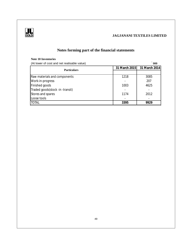

# **Notes forming part of the financial statements**

#### **Note 10 Inventories**

**31 March 2015 31 March 2014** Raw materials and components 1218 1218 3085 Work-in-progress 207 Finished goods 1003 4625 Traded goods(stock -in -transit) and the state of the state of the state of the state of the state of the state of the state of the state of the state of the state of the state of the state of the state of the state of the Stores and spares 1174 2012 Loose tools - - TOTAL **3395 9929 Particulars** (At lower of cost and net realisable value) `**000**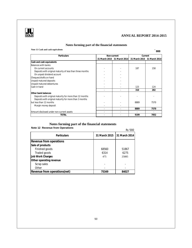

### **Notes forming part of the financial statements**

**Note 11 Cash and cash equivalents**

#### `**000**

| Particulars                                               | Non-current | Current                                                 |      |  |
|-----------------------------------------------------------|-------------|---------------------------------------------------------|------|--|
|                                                           |             | 31 March 2015 31 March 2014 31 March 2015 31 March 2014 |      |  |
| Cash and cash equivalents                                 |             |                                                         |      |  |
| Balances with banks:                                      |             |                                                         |      |  |
| On current accounts                                       |             | 187                                                     | 158  |  |
| Deposits with original maturity of less than three months |             |                                                         |      |  |
| On unpaid dividend account                                |             |                                                         |      |  |
| Cheques/drafts on hand                                    |             |                                                         |      |  |
| Unpaid matured deposits                                   |             |                                                         |      |  |
| Unpaid matured debentures                                 |             |                                                         |      |  |
| Cash in hand                                              |             | 123                                                     | 124  |  |
|                                                           |             | 310                                                     | 282  |  |
| Other bank balances                                       |             |                                                         |      |  |
| Deposits with original maturity for more than 12 months   |             |                                                         |      |  |
| Deposits with original maturity for more than 3 months    |             |                                                         |      |  |
| but less than 12 months                                   |             | 8889                                                    | 7570 |  |
| Margin money deposit                                      |             |                                                         |      |  |
|                                                           |             | 8889                                                    | 7570 |  |
| Amount disclosed under non-current assets                 |             |                                                         |      |  |
| <b>TOTAL</b>                                              |             | 9199                                                    | 7852 |  |

# **Notes forming part of the financial statements**

### **Note 12 Revenue from Operations**

| NOTE 12 Revenue from Operations |               | Rs '000       |
|---------------------------------|---------------|---------------|
| Particulars                     | 31 March 2015 | 31 March 2014 |
| Revenue from operations         |               |               |
| Sale of products                |               |               |
| Finished goods                  | 68560         | 51867         |
| Traded goods                    | 6314          | 6275          |
| Job Work Charges                | 475           | 25885         |
| Other operating revenue         |               |               |
| Scrap sales                     |               |               |
| Other                           |               |               |
| Revenue from operations(net)    | 75349         | 84027         |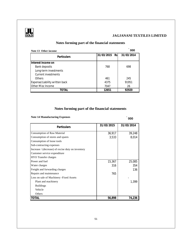

# **Notes forming part of the financial statements**

| Note 13 Other income           |               | 000        |
|--------------------------------|---------------|------------|
| <b>Particulars</b>             | 31/03/2015 Rs | 31/03/2014 |
| Interest income on             |               |            |
| Bank deposits                  | 768           | 698        |
| Long-term investments          |               |            |
| Current investments            |               |            |
| <b>Others</b>                  | 461           | 245        |
| Expense/Liability written back | 4375          | 91951      |
| Other Misc Income              | 7047          | 26         |
| TOTAL                          | 12651         | 92920      |

# **Notes forming part of the financial statements**

#### **Note 14 Manufacturing Expenses**

# `**000**

| <b>Particulars</b>                                | 31/03/2015 | 31/03/2014 |
|---------------------------------------------------|------------|------------|
| Consumption of Raw Material                       | 36,917     | 39,248     |
| Consumption of stores and spares                  | 3,533      | 8,014      |
| Consumption of loose tools                        |            |            |
| Sub-contracting expenses                          |            |            |
| Increase / (decrease) of excise duty on inventory |            |            |
| Customer service expenditure                      |            |            |
| <b>HYO</b> Transfer charges                       |            |            |
| Power and fuel                                    | 15,367     | 25,085     |
| Water charges                                     | 316        | 354        |
| Freight and forwarding charges                    |            | 136        |
| Repairs and maintenance                           | 765        |            |
| Loss on sale of Machinery - Fixed Assets          |            |            |
| Plant and machinery                               |            | 1,399      |
| <b>Buildings</b>                                  |            |            |
| Vehicle                                           |            |            |
| Others                                            |            |            |
| TOTAL                                             | 56,898     | 74.236     |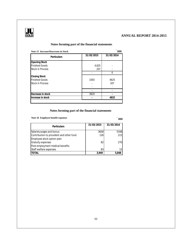

# **Notes forming part of the financial statements**

| Note 15 Increase/Deacrease in Stock |            | 000        |
|-------------------------------------|------------|------------|
| Particulars                         | 31/03/2015 | 31/03/2014 |
| <b>Opening Stock</b>                |            |            |
| <b>Finished Goods</b>               | 4,625      |            |
| <b>Stock in Process</b>             | 207        |            |
|                                     |            | $\Omega$   |
| Closing Stock                       |            |            |
| <b>Finished Goods</b>               | 1003       | 4625       |
| <b>Stock in Process</b>             |            | 207        |
|                                     |            |            |
|                                     |            |            |
| Decrease in stock                   | 3829       |            |
| Increase in stock                   |            | 4832       |

### **Notes forming part of the financial statements**

**Note 16 Employee benefit expenses**

### `**000**

| Particulars                              | 31/03/2015 | 31/03/2014 |
|------------------------------------------|------------|------------|
|                                          |            |            |
| Salaries, wages and bonus                | 3658       | 5348       |
| Contribution to provident and other fund | 126        | 215        |
| Employee stock option plan               |            |            |
| <b>Gratuity expenses</b>                 | 82         | 270        |
| Post employment medical benefits         |            |            |
| Staff welfare expenses                   | 83         | 15         |
| TOTAL                                    | 3.949      | 5,848      |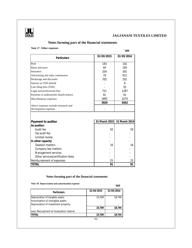

#### **Notes forming part of the financial statements**

#### **Note 17 Other expenses**

Rent 192 Rates and taxes and taxes and taxes and taxes and taxes and taxes are set of  $44$  165 Insurance 204 391 Advertising and sales commission 79 812 Brokerage and discounts 1991 291 Interest on TDS default 8 Late filing fees  $(TDS)$  55 Legal and professional fees 721 1287 Payment to auditor(refer details below) 91 91 91 Miscellaneous expenses 1892 1892 3270 **3929 6562** Above expenses include reasearch and development expenses and the set of the set of the set of the set of the set of the set of the set of the set of the set of the set of the set of the set of the set of the set of the set of the set of the set of the set of **Payment to auditor 31 March 2015 31 March 2014 As auditor:** Audit fee 50 50 j Tax audit fee - -  $\overline{a}$ Limited review **All 2008** - **In other capacity and the capacity dependent of the capacity**  $\cdot$ - Taxation matters 16 16 Company law matters - Management services - Other services(certification fees) and the services of the services of the services of the services of the services of the services of the services of the services of the services of the services of the services of the ser - Reimbursement of expenses<br>
TOTAL
25 25 **TOTAL 91 91 Particulars 31/03/2015 31/03/2014**  `**000**

#### **Notes forming part of the financial statements**

| Note 18 Depreciation and amortization expense |            | 000        |
|-----------------------------------------------|------------|------------|
| <b>Particulars</b>                            | 31/03/2015 | 31/03/2014 |
| Depreciation of tangible assets               | 23.709     | 18.744     |
| Amortization of intangible assets             |            |            |
| Depreciation of investment property           |            |            |
|                                               | 23,709     | 18,744     |
| Less: Recoupment of revaluation reserve       |            |            |
| TOTAL                                         | 23.709     | 18.744     |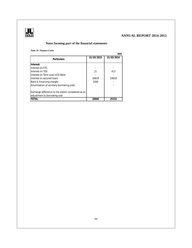

### **Notes forming part of the financial statements**

#### **Note 19 Finance Costs**

|                                                    |            | 000        |
|----------------------------------------------------|------------|------------|
| Particulars                                        | 31/03/2015 | 31/03/2014 |
| Interest:                                          |            |            |
| Interest on FITL                                   |            |            |
| Interest on TDS                                    | 21         | 413        |
| Interest on Term Loan UCO Bank                     |            |            |
| Interest on secured loans                          | 16819      | 24819      |
| Bank & Financing charges                           | 3200       |            |
| Amortization of ancillary borrowing costs          |            |            |
| Exchange difference to the extent considered as an |            |            |
| adjustment to borrowing cost                       |            |            |
| TOTAL                                              | 20040      | 25232      |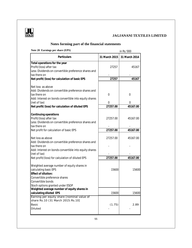

# **Notes forming part of the financial statements**

| Note 20 Earnings per share (EPS)                                                                                                                                                                                                                                                                                                                                                                                                                                                                                                                                                                    |                                                                                           | in Rs.'000                                                                |
|-----------------------------------------------------------------------------------------------------------------------------------------------------------------------------------------------------------------------------------------------------------------------------------------------------------------------------------------------------------------------------------------------------------------------------------------------------------------------------------------------------------------------------------------------------------------------------------------------------|-------------------------------------------------------------------------------------------|---------------------------------------------------------------------------|
| Particulars                                                                                                                                                                                                                                                                                                                                                                                                                                                                                                                                                                                         | 31 March 2015                                                                             | 31 March 2014                                                             |
| Total operations for the year<br>Profit/(loss) after tax<br>Less: Dividends on convertible preference shares and                                                                                                                                                                                                                                                                                                                                                                                                                                                                                    | 27257                                                                                     | 45167                                                                     |
| tax there on                                                                                                                                                                                                                                                                                                                                                                                                                                                                                                                                                                                        |                                                                                           |                                                                           |
| Net profit/(loss) for calculation of basic EPS<br>Net loss as above<br>Add: Dividends on convertible preference shares and<br>tax there on<br>Add: Interest on bonds convertible into equity shares<br>(net of tax)<br>Net profit/(loss) for calculation of diluted EPS<br>Continuing operations<br>Profit/(loss) after tax<br>Less: Dividends on convertible preference shares and<br>tax there on<br>Net profit for calculation of basic EPS<br>Net loss as above<br>Add: Dividends on convertible preference shares and<br>tax there on<br>Add: Interest on bonds convertible into equity shares | 27257<br>$\overline{0}$<br>$\overline{0}$<br>27257.00<br>27257.00<br>27257.00<br>27257.00 | 45167<br>$\mathbf 0$<br>0<br>45167.00<br>45167.00<br>45167.00<br>45167.00 |
| (net of tax)                                                                                                                                                                                                                                                                                                                                                                                                                                                                                                                                                                                        |                                                                                           |                                                                           |
| Net profit/(loss) for calculation of diluted EPS                                                                                                                                                                                                                                                                                                                                                                                                                                                                                                                                                    | 27257.00                                                                                  | 45167.00                                                                  |
| Weighted average number of equity shares in<br>calculating basic EPS<br>Effect of dilution:<br>Convertible preference shares<br>Convertible bonds<br>Stoch options granted under ESOP                                                                                                                                                                                                                                                                                                                                                                                                               | 15600                                                                                     | 15600                                                                     |
| Weighted average number of equity shares in<br>calculating diluted EPS                                                                                                                                                                                                                                                                                                                                                                                                                                                                                                                              | 15600                                                                                     | 15600                                                                     |
| Earning per equity share [nominal value of<br>share Rs.10 (31 March 2015: Rs.10]<br>Basic<br>Diluted                                                                                                                                                                                                                                                                                                                                                                                                                                                                                                | (1.75)                                                                                    | 2.89                                                                      |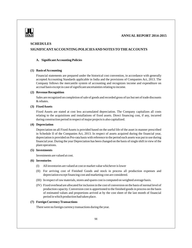

#### **SCHEDULES**

#### **SIGNIFICANTACCOUNTING POLICIES AND NOTES TO THE ACCOUNTS**

#### **A. Significant Accounting Policies**

#### **(1) Basis of Accounting**

Financial statements are prepared under the historical cost convention, in accordance with generally accepted Accounting Standards applicable in India and the provisions of Companies Act, 2013. The Company follows the mercantile system of accounting and recognizes income and expenditure on accrual basis except in case of significant uncertainties relating to income.

#### **(2) Revenue Recognition**

Sales are recognized on completion of sale of goods and recorded gross of tax but net of trade discounts & rebates.

#### **(3) Fixed Assets**

Fixed Assets are stated at cost less accumulated depreciation. The Company capitalizes all costs relating to the acquisitions and installations of fixed assets. Direct financing cost, if any, incurred during construction period in respect of major projects is also capitalized.

#### **(4) Depreciation**

Depreciation on all Fixed Assets is provided based on the useful life of the asset in manner prescribed in Schedule II of the Companies Act, 2013. In respect of assets acquired during the financial year, depreciation is provided on Pro-rata basis with reference to the period each assets was put to use during financial year. During the year Depreciation has been changed on the basis of single shift in view of the plant operations.

#### **(5) Investments**

Investments are valued at cost.

#### **(6) Inventories**

- (I) All inventories are valued at cost or market value whichever is lower
- (II) For arriving cost of Finished Goods and stock in process all production expenses and depreciation except financing cost and marketing cost are considered.
- (III) In respect of raw materials, stores and spares cost is computed on weighted average basis.
- (IV) Fixed overhead are allocated for inclusion in the cost of conversion on the basis of normal level of production capacity. Conversion cost is apportioned to the finished goods in process on the basis of estimated values and proportions arrived at by the cost sheet of the last month of financial period in which production had taken place.

#### **(7) Foreign Currency Transactions**

There were no foreign currency transactions during the year.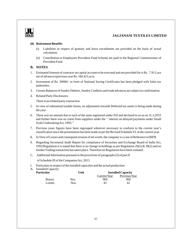

#### **(8) Retirement Benefits**

- (i) Liabilities in respect of gratuity and leave encashment are provided on the basis of actual calculation.
- (ii) Contribution to Employees Provident Fund Scheme are paid to the Regional Commissioner of Provident Fund.

#### **B. NOTES**

- 1. Estimated Amount of contracts on capital account to be executed and not provided for is Rs. 7.91 Lacs net of advances (previous year Rs. 184.42 Lacs).
- 2. Investment of Rs. 39000/- in form of National Saving Certificates has been pledged with Sales tax authorities.
- 3. Certain Balances of Sundry Debtors, Sundry Creditors and trade advances are subject to confirmation.
- 4. Related Party Disclosures :

There is no related party transaction

- 5. In view of substantial taxable losses, no adjustment towards Deferred tax assets is being made during the year.
- 6. There was no amount due to such of the units registered under SSI and declared to us as on 31.3.2015 and further there was no claim from suppliers under the '' interest on delayed payments under Small Scale Undertaking Act, 1993.''
- 7. Previous years figures have been regrouped wherever necessary to conform to the current year's classification since the presentation has been made as per the Revised Schedule VI, in the current year.
- 8. In View of Losses and consequent erosion of net worth, the company is a case of Reference to BIFR.
- 9. Regarding Secretarial Audit Report for compliance of Securities and Exchange Board of India Act, 1992/Regulation it is stated that there is no change in holdings as per Regulation 29(2) & 30(2) and no Insider Trading transaction has taken place. Therefore no Regulation have been violated.
- C. Additional Information pursuant to the provisions of paragraphs (5) of part II

of Schedule III of the Companies Act, 2013

- I. Particulars in respect of the installed capacities and the actual production:
- A. Installed Capacity:

| <b>Particular</b> | Unit |              | <b>Installed Capacity</b> |
|-------------------|------|--------------|---------------------------|
|                   |      | Current Year | Previous Year             |
| <b>Rotors</b>     | Nos. | 960          | 960                       |
| Looms             | Nos. | 42           | 42                        |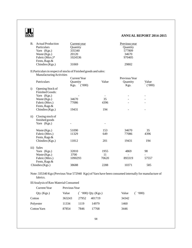

| Β.            | <b>Actual Production</b><br>Particulars<br>Yarn (Kgs.)<br>Waste $(Kgs.)$<br>Fabric (Mtrs.)*<br>Fents, Rags &<br>Chindies (Kgs.) | Current year<br>Quantity<br>335340<br>20120<br>1024536<br>31069 |                | Previous year<br>Quantity<br>577809<br>34670<br>970405<br>29802 |       |
|---------------|---------------------------------------------------------------------------------------------------------------------------------|-----------------------------------------------------------------|----------------|-----------------------------------------------------------------|-------|
|               | II. Particulars in respect of stocks of Finished goods and sales:                                                               |                                                                 |                |                                                                 |       |
|               | Manufacturing Activities                                                                                                        |                                                                 |                |                                                                 |       |
|               |                                                                                                                                 | <b>Current Year</b>                                             |                | Previous Year                                                   |       |
|               | Patriculars                                                                                                                     | Quantity                                                        | Value          | Quantity                                                        | Value |
|               |                                                                                                                                 | Kgs. ('000)                                                     |                | Kgs.                                                            | (000) |
| $\mathbf{i}$  | Opening Stock of                                                                                                                |                                                                 |                |                                                                 |       |
|               | Finished Goods:                                                                                                                 |                                                                 |                |                                                                 |       |
|               | Yarn (Kgs.)                                                                                                                     |                                                                 | $\blacksquare$ |                                                                 |       |
|               | Waste $(Kgs.)$                                                                                                                  | 34670                                                           | 35             |                                                                 |       |
|               | Fabric (Mtrs.)                                                                                                                  | 77086                                                           | 4396           |                                                                 |       |
|               | Fents, Rags &                                                                                                                   |                                                                 |                |                                                                 |       |
|               | Chindies (Kgs.)                                                                                                                 | 19431                                                           | 194            |                                                                 |       |
| $\mathbf{ii}$ | Closing stock of<br>finished goods<br>Yarn (Kgs.)                                                                               |                                                                 |                |                                                                 |       |
|               |                                                                                                                                 |                                                                 |                |                                                                 |       |
|               | Waste (Kgs.)                                                                                                                    | 51090                                                           | 153            | 34670                                                           | 35    |
|               | Fabric (Mtrs.)                                                                                                                  | 11329                                                           | 649            | 77086                                                           | 4396  |
|               | Fents, Rags &                                                                                                                   |                                                                 |                |                                                                 |       |
|               | Chindies (Kgs.)                                                                                                                 | 11812                                                           | 201            | 19431                                                           | 194   |
|               |                                                                                                                                 |                                                                 |                |                                                                 |       |
|               | iii) Sales                                                                                                                      |                                                                 |                |                                                                 |       |
|               | Yarn (Kgs.)                                                                                                                     | 32810                                                           | 1955           | 4869                                                            | 98    |
|               | Waste (Kgs.)                                                                                                                    | 3700                                                            | 11             |                                                                 |       |
|               | Fabric (Mtrs.)                                                                                                                  | 1090293                                                         | 70620          | 893319                                                          | 57557 |
|               | Fents, Rags &                                                                                                                   |                                                                 |                |                                                                 |       |
|               | Chindies (Kgs.)                                                                                                                 | 38688                                                           | 2288           | 10371                                                           | 585   |
|               |                                                                                                                                 |                                                                 |                |                                                                 |       |
|               | Note: 335340 Kgs (Previous Year 572940 Kgs) of Yarn have been consumed internally for manufacture of<br>fabrics.                |                                                                 |                |                                                                 |       |
|               | III Analysis of Raw Material Consumed                                                                                           |                                                                 |                |                                                                 |       |
|               | <b>Current Year</b>                                                                                                             | Previous Year                                                   |                |                                                                 |       |
|               |                                                                                                                                 |                                                                 |                |                                                                 |       |

| Culicin Ical | TIVVIUUS TUUL |       |                       |       |         |
|--------------|---------------|-------|-----------------------|-------|---------|
| Qty. (Kgs.)  | Value         |       | $($ '000) Qty. (Kgs.) | Value | (1.000) |
| Cotton       | 363243        | 27952 | 401719                | 34342 |         |
| Polyester    | 11334         | 1119  | 14979                 | 1460  |         |
| Cotton Yarn  | 87854         | 7846  | 17768                 | 3446  |         |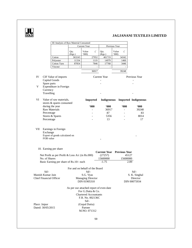

|    |                                | III Analysis of Raw Material Consumed               |                                         |                              |               |                    |                                   |       |                             |
|----|--------------------------------|-----------------------------------------------------|-----------------------------------------|------------------------------|---------------|--------------------|-----------------------------------|-------|-----------------------------|
|    |                                |                                                     |                                         | Current Year                 |               |                    | Previous Year                     |       |                             |
|    |                                |                                                     | Qty.<br>(Kgs.)                          | Value<br>(000)               | $\mathcal{C}$ | Qty.<br>(Kgs.)     | Value<br>$\mathcal{C}$<br>(000)   |       |                             |
|    |                                | Cotton                                              | 363243                                  |                              | 27952         | 401719             | 34342                             |       |                             |
|    |                                | Polyester                                           | 11334                                   |                              | 1119          | 14979              | 1460                              |       |                             |
|    |                                | Cotton Yarn                                         | 87854                                   |                              | 7846          | 17768              | 3446                              |       |                             |
|    |                                | Viscose                                             |                                         |                              |               |                    |                                   |       |                             |
|    |                                |                                                     |                                         |                              | 36917         |                    | 39248                             |       |                             |
| IV |                                | CIF Value of imports                                |                                         |                              |               | Current Year       |                                   |       | Previous Year               |
|    | Capital Goods                  |                                                     |                                         |                              |               |                    |                                   |       |                             |
|    | Spare parts                    |                                                     |                                         |                              |               |                    |                                   |       |                             |
| V  |                                | Expenditure in Foreign                              |                                         |                              |               |                    |                                   |       |                             |
|    | Currency<br>Travelling         |                                                     |                                         |                              |               |                    |                                   |       |                             |
|    |                                |                                                     |                                         |                              |               |                    |                                   |       |                             |
| VI |                                | Value of raw materials,<br>stores & spares consumed |                                         | <b>Imported</b>              |               | <b>Indigeneous</b> |                                   |       | <b>Imported Indigeneous</b> |
|    | during the year                |                                                     |                                         | <b>000°</b>                  |               | 600                | $600^{\circ}$                     |       | $000^{\circ}$               |
|    | Raw Materials                  |                                                     |                                         |                              |               | 36917              |                                   |       | 39248                       |
|    | Percentage                     |                                                     |                                         |                              |               | 87                 |                                   |       | 83                          |
|    | Stores & Spares                |                                                     |                                         |                              |               | 5356               |                                   |       | 8014                        |
|    | Percentage                     |                                                     |                                         |                              |               | 13                 |                                   |       | 17                          |
|    | FOB value                      |                                                     |                                         |                              |               |                    |                                   |       |                             |
|    | 10. Earning per share          |                                                     |                                         |                              |               |                    | <b>Current Year</b> Previous Year |       |                             |
|    |                                | Net Profit as per Profit & Loss $A/c$ (in Rs.000)   |                                         |                              |               | (27257)            |                                   | 45127 |                             |
|    | No. of Shares                  |                                                     |                                         |                              |               | 15600000           | 15600000                          |       |                             |
|    |                                | Basic Earning per share of Rs.10/- each             |                                         |                              |               | $-1.75$            |                                   | 2.89  |                             |
|    |                                |                                                     | For and on behalf of the Board          |                              |               |                    |                                   |       |                             |
|    | $Sd$ <sup>-</sup>              |                                                     |                                         | $Sd$ /-                      |               |                    |                                   |       | $Sd$ /-                     |
|    | Manish Kumar Jain              |                                                     |                                         | S.G. Vyas                    |               |                    |                                   |       | S. K. Singhal               |
|    | <b>Chief Financial Officer</b> |                                                     |                                         | Managing Director            |               |                    |                                   |       | Director                    |
|    |                                |                                                     |                                         | DIN 01905310                 |               |                    |                                   |       | DIN 00075934                |
|    |                                |                                                     | As per our attached report of even date | For G.Dutta & Co.            |               |                    |                                   |       |                             |
|    |                                |                                                     |                                         | <b>Chartered Accountants</b> |               |                    |                                   |       |                             |
|    |                                |                                                     |                                         | F.R. No. 002136C             |               |                    |                                   |       |                             |
|    |                                |                                                     |                                         | Sd/-                         |               |                    |                                   |       |                             |
|    | Place: Jaipur                  |                                                     |                                         | (Gopal Dutta)                |               |                    |                                   |       |                             |
|    | Dated: 30/05/2015              |                                                     |                                         | Partner                      |               |                    |                                   |       |                             |
|    |                                |                                                     |                                         | M.NO. 071312                 |               |                    |                                   |       |                             |
|    |                                |                                                     |                                         |                              |               |                    |                                   |       |                             |
|    |                                |                                                     |                                         |                              | 50            |                    |                                   |       |                             |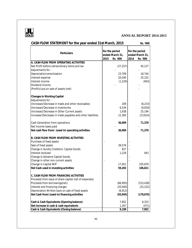

| CASH FLOW STATEMENT for the year ended 31st March, 2015     |                                   |          |           |      | Rs. '000                          |
|-------------------------------------------------------------|-----------------------------------|----------|-----------|------|-----------------------------------|
|                                                             |                                   |          |           |      |                                   |
| Particulars                                                 | For the period<br>ended March 31, |          |           |      | For the period<br>ended March 31, |
|                                                             | 2015                              | Rs. '000 |           | 2014 | Rs. '000                          |
| A. CASH FLOW FROM OPERATING ACTIVITIES                      |                                   |          |           |      |                                   |
|                                                             |                                   |          |           |      |                                   |
| Net Profit before extraordinary items and tax               |                                   |          | (27, 257) |      | 45,127                            |
| Adjustments for:                                            |                                   |          |           |      | 18,744                            |
| Depreciation/amortisation                                   |                                   |          | 23,709    |      |                                   |
| Interest expense<br>Interest income                         |                                   |          | 20,040    |      | 25,232                            |
| Dividend income                                             |                                   |          | (1, 229)  |      | (943)                             |
|                                                             |                                   |          |           |      |                                   |
| (Profit)/Loss on sale of assets (net)                       |                                   |          |           |      |                                   |
| Changes in Working Capital                                  |                                   |          |           |      |                                   |
| Adjustments for:                                            |                                   |          |           |      |                                   |
| (Increase)/Decrease in trade and other receivables          |                                   |          | 209       |      | (8, 233)                          |
| (Increase)/Decrease in Inventories                          |                                   |          | 6,534     |      | (9,929)                           |
| (Increase)/Decrease in Other Current assets                 |                                   |          | 1,638     |      | 25,194                            |
| Increase/(Decrease) in trade payables and other liabilities |                                   |          | 12,365    |      | (23, 814)                         |
| Cash Generation from operations                             |                                   |          | 36,009    |      | 71,378                            |
| Net Income taxes paid                                       |                                   |          |           |      |                                   |
| Net cash flow from/ (used in) operating activities          |                                   |          | 36,009    |      | 71,378                            |
| <b>B. CASH FLOW FROM INVESTING ACTIVITIES</b>               |                                   |          |           |      |                                   |
| Purchase of fixed assets                                    |                                   |          |           |      |                                   |
| Sale of fixed assets                                        |                                   |          | 39,576    |      |                                   |
| Change in Sundry Creditors- Capital Goods                   |                                   |          | 827       |      |                                   |
| Interest received                                           |                                   |          | 1,229     |      | 943                               |
| Change in Advance Capital Goods                             |                                   |          |           |      |                                   |
| Change in other non current assets                          |                                   |          |           |      |                                   |
| Change in Capital WIP                                       |                                   |          | 17,651    |      | 105,878                           |
| Net Cash used in investing activities                       |                                   |          | 59,283    |      | 106,821                           |
|                                                             |                                   |          |           |      |                                   |
| C. CASH FLOW FROM FINANCING ACTIVITIES                      |                                   |          |           |      |                                   |
| Proceeds from issue of share capital (net of expenses)      |                                   |          |           |      |                                   |
| Proceeds from borrowings(net)                               |                                   |          | (66, 993) |      | (153, 438)                        |
| Interest and Financing charges                              |                                   |          | (20, 040) |      | (25, 232)                         |
| Depreciation Written back on sale of fixed assets           |                                   |          | (6, 912)  |      |                                   |
| Net Cash from/(used in) financing activities                |                                   |          | (93, 945) |      | (178, 670)                        |
| Cash & Cash Equivalents (Opening balance)                   |                                   |          | 7,852     |      | 8,323                             |
| Net increase in cash & cash equivalents                     |                                   |          | 1,347     |      | (471)                             |
| Cash & Cash Equivalents (Closing balance)                   |                                   |          | 9,199     |      | 7,852                             |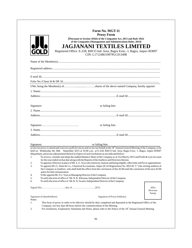|                      | <b>Proxy Form</b>                                                                                                                                                                                                                                                                                                                                                                       |
|----------------------|-----------------------------------------------------------------------------------------------------------------------------------------------------------------------------------------------------------------------------------------------------------------------------------------------------------------------------------------------------------------------------------------|
|                      | (Pursuant to Section 105(6) of the Companies Act, 2013 and Rule 19(3)<br>of the Companies (Management and Administration) Rules, 2014]                                                                                                                                                                                                                                                  |
|                      | <b>JAGJANANI TEXTILES LIMITED</b>                                                                                                                                                                                                                                                                                                                                                       |
|                      | Registered Office: E-228, RIICO Ind. Area, Bagru Extn. - I, Bagru, Jaipur-303007<br>CIN: L17124RJ1997PLC013498                                                                                                                                                                                                                                                                          |
|                      |                                                                                                                                                                                                                                                                                                                                                                                         |
|                      |                                                                                                                                                                                                                                                                                                                                                                                         |
|                      |                                                                                                                                                                                                                                                                                                                                                                                         |
|                      |                                                                                                                                                                                                                                                                                                                                                                                         |
|                      |                                                                                                                                                                                                                                                                                                                                                                                         |
|                      |                                                                                                                                                                                                                                                                                                                                                                                         |
|                      |                                                                                                                                                                                                                                                                                                                                                                                         |
|                      |                                                                                                                                                                                                                                                                                                                                                                                         |
|                      | or failing him                                                                                                                                                                                                                                                                                                                                                                          |
| Signature:           |                                                                                                                                                                                                                                                                                                                                                                                         |
|                      |                                                                                                                                                                                                                                                                                                                                                                                         |
|                      | or failing him                                                                                                                                                                                                                                                                                                                                                                          |
|                      |                                                                                                                                                                                                                                                                                                                                                                                         |
|                      |                                                                                                                                                                                                                                                                                                                                                                                         |
| Signature:           | or failing him                                                                                                                                                                                                                                                                                                                                                                          |
|                      | as my/our proxy to attend and vote (on a poll) for me/us and on my/our behalf at the 18 <sup>th</sup> Annual General Meeting of the Company, to be<br>held on Wednesday the 30th September 2015 at 10.00 a.m., at E-228, RIICO Ind. Area, Bagru Extn.- I, Bagru, Jaipur-303007                                                                                                          |
| 1.                   | (Rajasthan), and at any adjournment thereof in respect of such resolutions as are indicated below:<br>To receive, consider and adopt the audited Balance Sheet of the Company as at 31st March, 2015 and Profit & Loss Account                                                                                                                                                          |
|                      | for the year ended on that date along with the Reports of the Auditors and Directors thereon.                                                                                                                                                                                                                                                                                           |
| $\mathbf{2}$ .<br>3. | To appoint a Director in place of Mr. S. G. Vyas who retires by rotation and being eligible, offers him-self for re-appointment.<br>To appoint M/s G. Dutta & Co., Chartered Accountants, Jaipur (ICAI Registration No. 002136 'C') the retiring auditors of<br>the Company as Auditors, who shall hold the office from the conclusion of this AGM until the conclusion of the next AGM |
|                      | and to fix their remuneration                                                                                                                                                                                                                                                                                                                                                           |
| 4.<br>5.             | To Re-appoint Mr. S G. Vyas as Managing Director of the Company.<br>To ratify the term of office of Mr. N. K. Khurana, Independent Director of the Company.                                                                                                                                                                                                                             |
| 6.                   | To ratify the term of office of Mr. R. N. Swami, Independent Director of the Company.                                                                                                                                                                                                                                                                                                   |
|                      | Affix<br>Revenue                                                                                                                                                                                                                                                                                                                                                                        |
| Notes:               | Stamp<br>Signature of shareholder(s)<br>Signature of Proxy holder(s)                                                                                                                                                                                                                                                                                                                    |
| 1.                   | This form of proxy in order to be effective should be duly completed and deposited at the Registered Office of the<br>Company, not less than 48 hours before the commencement of the Meeting.                                                                                                                                                                                           |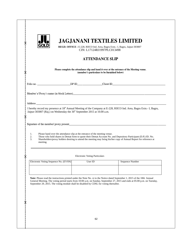|                            |                                                                            | <b>ATTENDANCE SLIP</b>                                                              |                                                                                                                                                                                                                                      |
|----------------------------|----------------------------------------------------------------------------|-------------------------------------------------------------------------------------|--------------------------------------------------------------------------------------------------------------------------------------------------------------------------------------------------------------------------------------|
|                            |                                                                            | (member's particulars to be furnished below)                                        | Please complete the attendance slip and hand it over at the entrance of the Meeting venue.                                                                                                                                           |
|                            |                                                                            |                                                                                     |                                                                                                                                                                                                                                      |
|                            |                                                                            |                                                                                     | Member's/ Proxy's name (in block Letters)<br><u>Example 2006</u>                                                                                                                                                                     |
|                            |                                                                            |                                                                                     |                                                                                                                                                                                                                                      |
|                            |                                                                            | Jaipur-303007 (Raj.) on Wednesday the 30 <sup>th</sup> September 2015 at 10.00 a.m. |                                                                                                                                                                                                                                      |
| 1.<br>2.<br>3.<br>meeting. | Please hand over the attendance slip at the entrance of the meeting venue. |                                                                                     | Those who hold shares in Demat form to quote their Demat Account No. and Depository Participant (D.P.) ID. No.<br>Shareholders/proxy holders desiring to attend the meeting may bring his/her copy of Annual Report for reference at |
|                            |                                                                            | <b>Electronic Voting Particulars</b>                                                |                                                                                                                                                                                                                                      |
|                            | Electronic Voting Sequence No. (EVSN)                                      | User ID                                                                             | Sequence Number                                                                                                                                                                                                                      |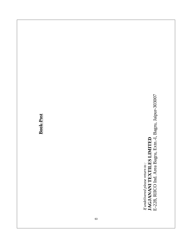**Book-Post**

If undelivered please return to :<br>JAGJANANI TEXTILES LIMITED<br>E-228, RIICO Ind. Area Bagru, Extn.-I, Bagru, Jaipur-303007 E-228, RIICO Ind. Area Bagru, Extn.-I, Bagru, Jaipur-303007 **JAGJANANI TEXTILES LIMITED**

*If undelivered please return to :*